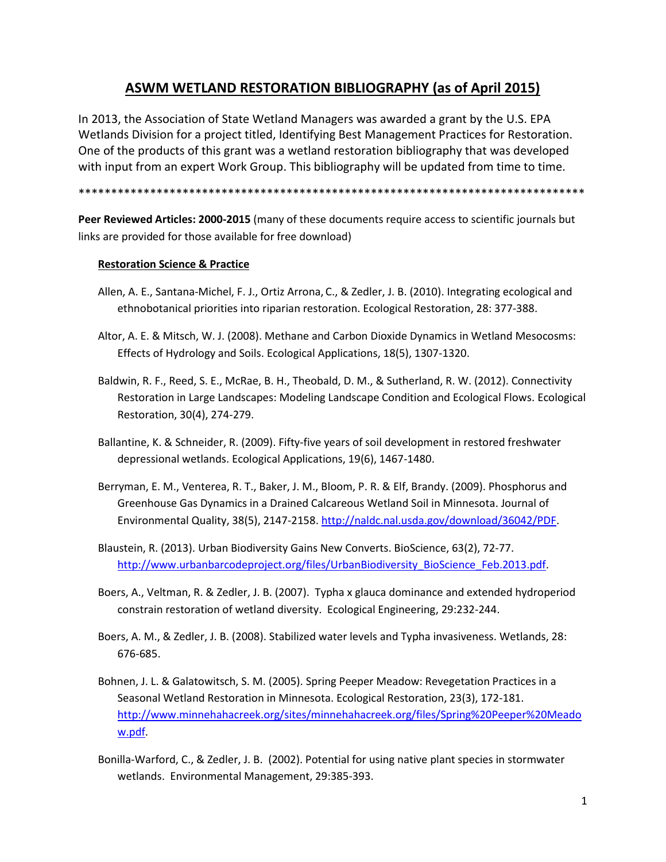# **ASWM WETLAND RESTORATION BIBLIOGRAPHY (as of April 2015)**

In 2013, the Association of State Wetland Managers was awarded a grant by the U.S. EPA Wetlands Division for a project titled, Identifying Best Management Practices for Restoration. One of the products of this grant was a wetland restoration bibliography that was developed with input from an expert Work Group. This bibliography will be updated from time to time.

\*\*\*\*\*\*\*\*\*\*\*\*\*\*\*\*\*\*\*\*\*\*\*\*\*\*\*\*\*\*\*\*\*\*\*\*\*\*\*\*\*\*\*\*\*\*\*\*\*\*\*\*\*\*\*\*\*\*\*\*\*\*\*\*\*\*\*\*\*\*\*\*\*\*\*\*\*\*

**Peer Reviewed Articles: 2000-2015** (many of these documents require access to scientific journals but links are provided for those available for free download)

# **Restoration Science & Practice**

- Allen, A. E., Santana-Michel, F. J., Ortiz Arrona, C., & Zedler, J. B. (2010). Integrating ecological and ethnobotanical priorities into riparian restoration. Ecological Restoration, 28: 377-388.
- Altor, A. E. & Mitsch, W. J. (2008). Methane and Carbon Dioxide Dynamics in Wetland Mesocosms: Effects of Hydrology and Soils. Ecological Applications, 18(5), 1307-1320.
- Baldwin, R. F., Reed, S. E., McRae, B. H., Theobald, D. M., & Sutherland, R. W. (2012). Connectivity Restoration in Large Landscapes: Modeling Landscape Condition and Ecological Flows. Ecological Restoration, 30(4), 274-279.
- Ballantine, K. & Schneider, R. (2009). Fifty-five years of soil development in restored freshwater depressional wetlands. Ecological Applications, 19(6), 1467-1480.
- Berryman, E. M., Venterea, R. T., Baker, J. M., Bloom, P. R. & Elf, Brandy. (2009). Phosphorus and Greenhouse Gas Dynamics in a Drained Calcareous Wetland Soil in Minnesota. Journal of Environmental Quality, 38(5), 2147-2158[. http://naldc.nal.usda.gov/download/36042/PDF.](http://naldc.nal.usda.gov/download/36042/PDF)
- Blaustein, R. (2013). Urban Biodiversity Gains New Converts. BioScience, 63(2), 72-77. [http://www.urbanbarcodeproject.org/files/UrbanBiodiversity\\_BioScience\\_Feb.2013.pdf.](http://www.urbanbarcodeproject.org/files/UrbanBiodiversity_BioScience_Feb.2013.pdf)
- Boers, A., Veltman, R. & Zedler, J. B. (2007). Typha x glauca dominance and extended hydroperiod constrain restoration of wetland diversity. Ecological Engineering, 29:232-244.
- Boers, A. M., & Zedler, J. B. (2008). Stabilized water levels and Typha invasiveness. Wetlands, 28: 676-685.
- Bohnen, J. L. & Galatowitsch, S. M. (2005). Spring Peeper Meadow: Revegetation Practices in a Seasonal Wetland Restoration in Minnesota. Ecological Restoration, 23(3), 172-181. [http://www.minnehahacreek.org/sites/minnehahacreek.org/files/Spring%20Peeper%20Meado](http://www.minnehahacreek.org/sites/minnehahacreek.org/files/Spring%20Peeper%20Meadow.pdf) [w.pdf.](http://www.minnehahacreek.org/sites/minnehahacreek.org/files/Spring%20Peeper%20Meadow.pdf)
- Bonilla-Warford, C., & Zedler, J. B. (2002). Potential for using native plant species in stormwater wetlands. Environmental Management, 29:385-393.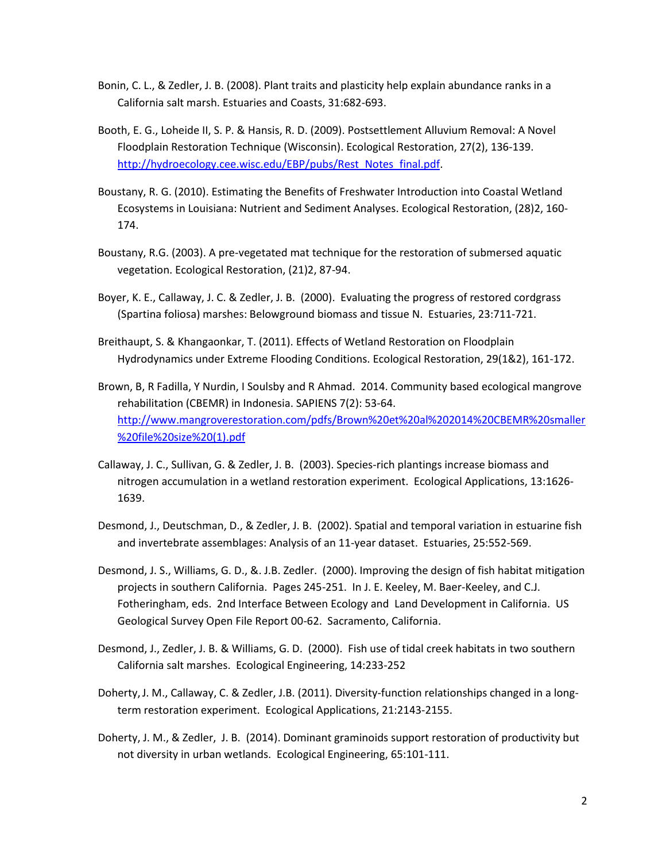- Bonin, C. L., & Zedler, J. B. (2008). Plant traits and plasticity help explain abundance ranks in a California salt marsh. Estuaries and Coasts, 31:682-693.
- Booth, E. G., Loheide II, S. P. & Hansis, R. D. (2009). Postsettlement Alluvium Removal: A Novel Floodplain Restoration Technique (Wisconsin). Ecological Restoration, 27(2), 136-139. [http://hydroecology.cee.wisc.edu/EBP/pubs/Rest\\_Notes\\_final.pdf.](http://hydroecology.cee.wisc.edu/EBP/pubs/Rest_Notes_final.pdf)
- Boustany, R. G. (2010). Estimating the Benefits of Freshwater Introduction into Coastal Wetland Ecosystems in Louisiana: Nutrient and Sediment Analyses. Ecological Restoration, (28)2, 160- 174.
- Boustany, R.G. (2003). A pre-vegetated mat technique for the restoration of submersed aquatic vegetation. Ecological Restoration, (21)2, 87-94.
- Boyer, K. E., Callaway, J. C. & Zedler, J. B. (2000). Evaluating the progress of restored cordgrass (Spartina foliosa) marshes: Belowground biomass and tissue N. Estuaries, 23:711-721.
- Breithaupt, S. & Khangaonkar, T. (2011). Effects of Wetland Restoration on Floodplain Hydrodynamics under Extreme Flooding Conditions. Ecological Restoration, 29(1&2), 161-172.
- Brown, B, R Fadilla, Y Nurdin, I Soulsby and R Ahmad. 2014. Community based ecological mangrove rehabilitation (CBEMR) in Indonesia. SAPIENS 7(2): 53-64. [http://www.mangroverestoration.com/pdfs/Brown%20et%20al%202014%20CBEMR%20smaller](http://www.mangroverestoration.com/pdfs/Brown%20et%20al%202014%20CBEMR%20smaller%20file%20size%20(1).pdf) [%20file%20size%20\(1\).pdf](http://www.mangroverestoration.com/pdfs/Brown%20et%20al%202014%20CBEMR%20smaller%20file%20size%20(1).pdf)
- Callaway, J. C., Sullivan, G. & Zedler, J. B. (2003). Species-rich plantings increase biomass and nitrogen accumulation in a wetland restoration experiment. Ecological Applications, 13:1626- 1639.
- Desmond, J., Deutschman, D., & Zedler, J. B. (2002). Spatial and temporal variation in estuarine fish and invertebrate assemblages: Analysis of an 11-year dataset. Estuaries, 25:552-569.
- Desmond, J. S., Williams, G. D., &. J.B. Zedler. (2000). Improving the design of fish habitat mitigation projects in southern California. Pages 245-251. In J. E. Keeley, M. Baer-Keeley, and C.J. Fotheringham, eds. 2nd Interface Between Ecology and Land Development in California. US Geological Survey Open File Report 00-62. Sacramento, California.
- Desmond, J., Zedler, J. B. & Williams, G. D. (2000). Fish use of tidal creek habitats in two southern California salt marshes. Ecological Engineering, 14:233-252
- Doherty,J. M., Callaway, C. & Zedler, J.B. (2011). Diversity-function relationships changed in a longterm restoration experiment. Ecological Applications, 21:2143-2155.
- Doherty, J. M., & Zedler, J. B. (2014). Dominant graminoids support restoration of productivity but not diversity in urban wetlands. Ecological Engineering, 65:101-111.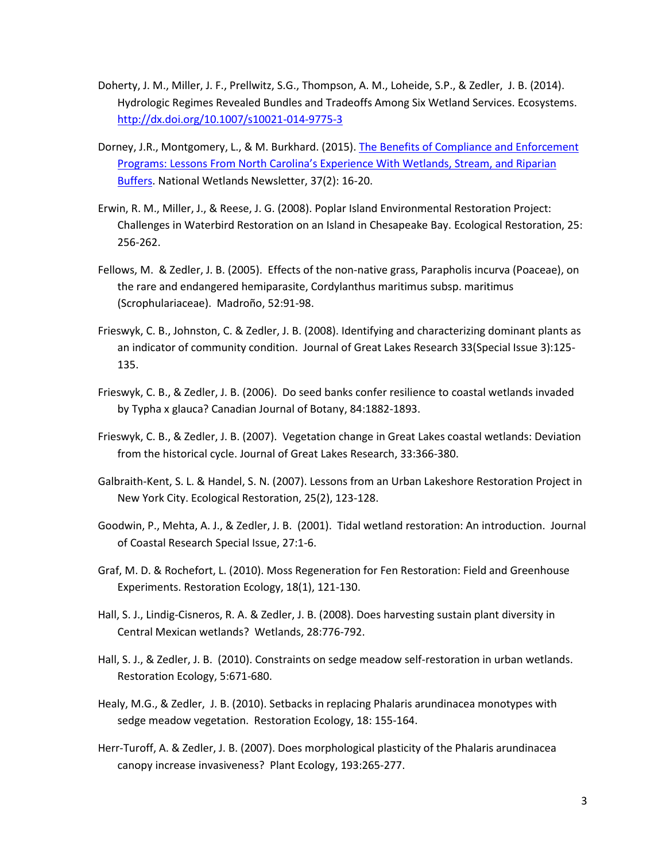- Doherty, J. M., Miller, J. F., Prellwitz, S.G., Thompson, A. M., Loheide, S.P., & Zedler, J. B. (2014). Hydrologic Regimes Revealed Bundles and Tradeoffs Among Six Wetland Services. Ecosystems. <http://dx.doi.org/10.1007/s10021-014-9775-3>
- Dorney, J.R., Montgomery, L., & M. Burkhard. (2015). [The Benefits of Compliance and Enforcement](http://wetlandsnewsletter.org/pdf/37.2/37.2_Dorney_etal.pdf)  [Programs: Lessons From North Carolina's Experience With Wetlands, Stream, and Riparian](http://wetlandsnewsletter.org/pdf/37.2/37.2_Dorney_etal.pdf)  [Buffers.](http://wetlandsnewsletter.org/pdf/37.2/37.2_Dorney_etal.pdf) National Wetlands Newsletter, 37(2): 16-20.
- Erwin, R. M., Miller, J., & Reese, J. G. (2008). Poplar Island Environmental Restoration Project: Challenges in Waterbird Restoration on an Island in Chesapeake Bay. Ecological Restoration, 25: 256-262.
- Fellows, M. & Zedler, J. B. (2005). Effects of the non-native grass, Parapholis incurva (Poaceae), on the rare and endangered hemiparasite, Cordylanthus maritimus subsp. maritimus (Scrophulariaceae). Madroño, 52:91-98.
- Frieswyk, C. B., Johnston, C. & Zedler, J. B. (2008). Identifying and characterizing dominant plants as an indicator of community condition. Journal of Great Lakes Research 33(Special Issue 3):125- 135.
- Frieswyk, C. B., & Zedler, J. B. (2006). Do seed banks confer resilience to coastal wetlands invaded by Typha x glauca? Canadian Journal of Botany, 84:1882-1893.
- Frieswyk, C. B., & Zedler, J. B. (2007). Vegetation change in Great Lakes coastal wetlands: Deviation from the historical cycle. Journal of Great Lakes Research, 33:366-380.
- Galbraith-Kent, S. L. & Handel, S. N. (2007). Lessons from an Urban Lakeshore Restoration Project in New York City. Ecological Restoration, 25(2), 123-128.
- Goodwin, P., Mehta, A. J., & Zedler, J. B. (2001). Tidal wetland restoration: An introduction. Journal of Coastal Research Special Issue, 27:1-6.
- Graf, M. D. & Rochefort, L. (2010). Moss Regeneration for Fen Restoration: Field and Greenhouse Experiments. Restoration Ecology, 18(1), 121-130.
- Hall, S. J., Lindig-Cisneros, R. A. & Zedler, J. B. (2008). Does harvesting sustain plant diversity in Central Mexican wetlands? Wetlands, 28:776-792.
- Hall, S. J., & Zedler, J. B. (2010). Constraints on sedge meadow self-restoration in urban wetlands. Restoration Ecology, 5:671-680.
- Healy, M.G., & Zedler, J. B. (2010). Setbacks in replacing Phalaris arundinacea monotypes with sedge meadow vegetation. Restoration Ecology, 18: 155-164.
- Herr-Turoff, A. & Zedler, J. B. (2007). Does morphological plasticity of the Phalaris arundinacea canopy increase invasiveness? Plant Ecology, 193:265-277.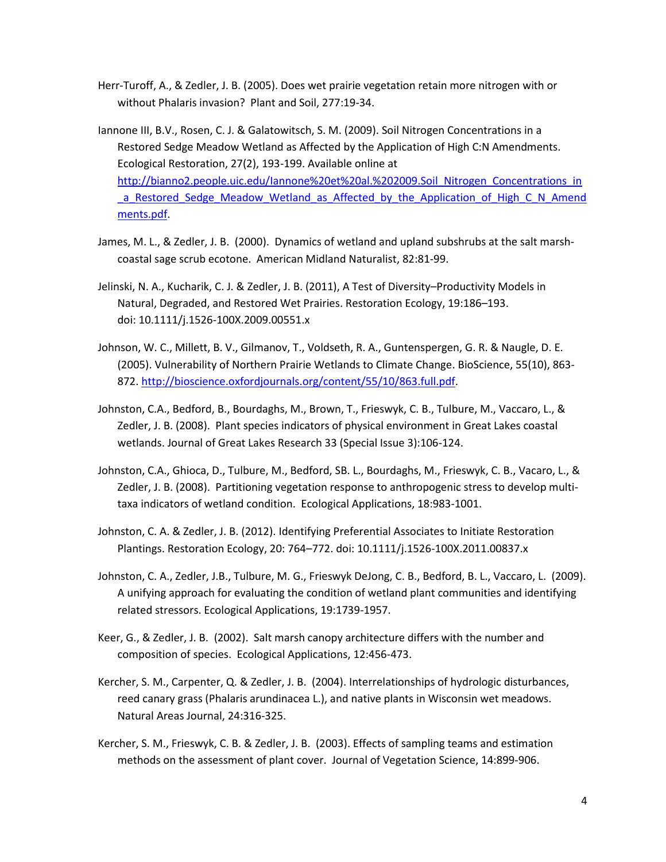- Herr-Turoff, A., & Zedler, J. B. (2005). Does wet prairie vegetation retain more nitrogen with or without Phalaris invasion? Plant and Soil, 277:19-34.
- Iannone III, B.V., Rosen, C. J. & Galatowitsch, S. M. (2009). Soil Nitrogen Concentrations in a Restored Sedge Meadow Wetland as Affected by the Application of High C:N Amendments. Ecological Restoration, 27(2), 193-199. Available online at [http://bianno2.people.uic.edu/Iannone%20et%20al.%202009.Soil\\_Nitrogen\\_Concentrations\\_in](http://bianno2.people.uic.edu/Iannone%20et%20al.%202009.Soil_Nitrogen_Concentrations_in_a_Restored_Sedge_Meadow_Wetland_as_Affected_by_the_Application_of_High_C_N_Amendments.pdf) a Restored Sedge Meadow Wetland as Affected by the Application of High C N Amend [ments.pdf.](http://bianno2.people.uic.edu/Iannone%20et%20al.%202009.Soil_Nitrogen_Concentrations_in_a_Restored_Sedge_Meadow_Wetland_as_Affected_by_the_Application_of_High_C_N_Amendments.pdf)
- James, M. L., & Zedler, J. B. (2000). Dynamics of wetland and upland subshrubs at the salt marshcoastal sage scrub ecotone. American Midland Naturalist, 82:81-99.
- Jelinski, N. A., Kucharik, C. J. & Zedler, J. B. (2011), A Test of Diversity–Productivity Models in Natural, Degraded, and Restored Wet Prairies. Restoration Ecology, 19:186–193. doi: 10.1111/j.1526-100X.2009.00551.x
- Johnson, W. C., Millett, B. V., Gilmanov, T., Voldseth, R. A., Guntenspergen, G. R. & Naugle, D. E. (2005). Vulnerability of Northern Prairie Wetlands to Climate Change. BioScience, 55(10), 863- 872. [http://bioscience.oxfordjournals.org/content/55/10/863.full.pdf.](http://bioscience.oxfordjournals.org/content/55/10/863.full.pdf)
- Johnston, C.A., Bedford, B., Bourdaghs, M., Brown, T., Frieswyk, C. B., Tulbure, M., Vaccaro, L., & Zedler, J. B. (2008). Plant species indicators of physical environment in Great Lakes coastal wetlands. Journal of Great Lakes Research 33 (Special Issue 3):106-124.
- Johnston, C.A., Ghioca, D., Tulbure, M., Bedford, SB. L., Bourdaghs, M., Frieswyk, C. B., Vacaro, L., & Zedler, J. B. (2008). Partitioning vegetation response to anthropogenic stress to develop multitaxa indicators of wetland condition. Ecological Applications, 18:983-1001.
- Johnston, C. A. & Zedler, J. B. (2012). Identifying Preferential Associates to Initiate Restoration Plantings. Restoration Ecology, 20: 764–772. doi: 10.1111/j.1526-100X.2011.00837.x
- Johnston, C. A., Zedler, J.B., Tulbure, M. G., Frieswyk DeJong, C. B., Bedford, B. L., Vaccaro, L. (2009). A unifying approach for evaluating the condition of wetland plant communities and identifying related stressors. Ecological Applications, 19:1739-1957.
- Keer, G., & Zedler, J. B. (2002). Salt marsh canopy architecture differs with the number and composition of species. Ecological Applications, 12:456-473.
- Kercher, S. M., Carpenter, Q. & Zedler, J. B. (2004). Interrelationships of hydrologic disturbances, reed canary grass (Phalaris arundinacea L.), and native plants in Wisconsin wet meadows. Natural Areas Journal, 24:316-325.
- Kercher, S. M., Frieswyk, C. B. & Zedler, J. B. (2003). Effects of sampling teams and estimation methods on the assessment of plant cover. Journal of Vegetation Science, 14:899-906.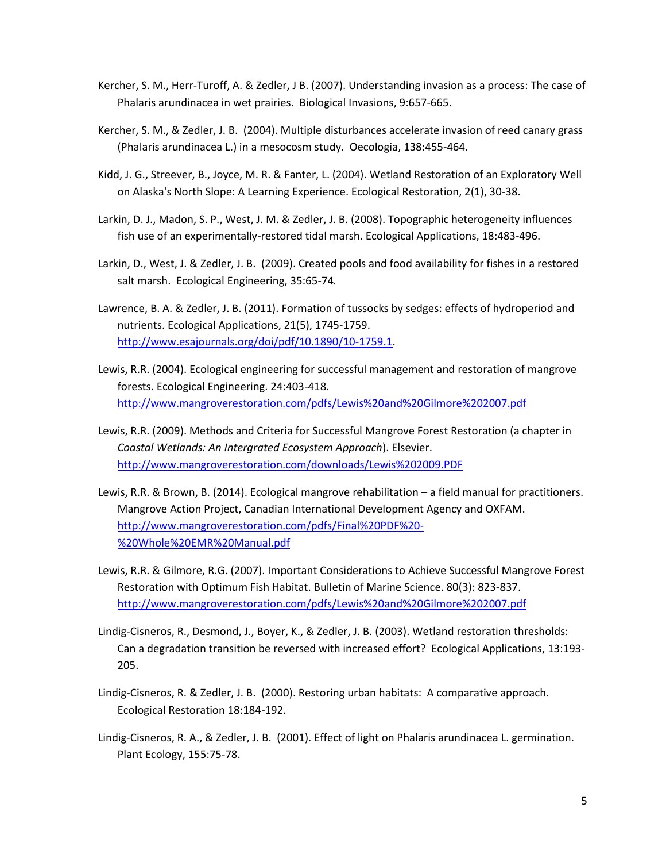- Kercher, S. M., Herr-Turoff, A. & Zedler, J B. (2007). Understanding invasion as a process: The case of Phalaris arundinacea in wet prairies. Biological Invasions, 9:657-665.
- Kercher, S. M., & Zedler, J. B. (2004). Multiple disturbances accelerate invasion of reed canary grass (Phalaris arundinacea L.) in a mesocosm study. Oecologia, 138:455-464.
- Kidd, J. G., Streever, B., Joyce, M. R. & Fanter, L. (2004). Wetland Restoration of an Exploratory Well on Alaska's North Slope: A Learning Experience. Ecological Restoration, 2(1), 30-38.
- Larkin, D. J., Madon, S. P., West, J. M. & Zedler, J. B. (2008). Topographic heterogeneity influences fish use of an experimentally-restored tidal marsh. Ecological Applications, 18:483-496.
- Larkin, D., West, J. & Zedler, J. B. (2009). Created pools and food availability for fishes in a restored salt marsh. Ecological Engineering, 35:65-74*.*
- Lawrence, B. A. & Zedler, J. B. (2011). Formation of tussocks by sedges: effects of hydroperiod and nutrients. Ecological Applications, 21(5), 1745-1759. [http://www.esajournals.org/doi/pdf/10.1890/10-1759.1.](http://www.esajournals.org/doi/pdf/10.1890/10-1759.1)
- Lewis, R.R. (2004). Ecological engineering for successful management and restoration of mangrove forests. Ecological Engineering. 24:403-418. <http://www.mangroverestoration.com/pdfs/Lewis%20and%20Gilmore%202007.pdf>
- Lewis, R.R. (2009). Methods and Criteria for Successful Mangrove Forest Restoration (a chapter in *Coastal Wetlands: An Intergrated Ecosystem Approach*). Elsevier. <http://www.mangroverestoration.com/downloads/Lewis%202009.PDF>
- Lewis, R.R. & Brown, B. (2014). Ecological mangrove rehabilitation a field manual for practitioners. Mangrove Action Project, Canadian International Development Agency and OXFAM. [http://www.mangroverestoration.com/pdfs/Final%20PDF%20-](http://www.mangroverestoration.com/pdfs/Final%20PDF%20-%20Whole%20EMR%20Manual.pdf) [%20Whole%20EMR%20Manual.pdf](http://www.mangroverestoration.com/pdfs/Final%20PDF%20-%20Whole%20EMR%20Manual.pdf)
- Lewis, R.R. & Gilmore, R.G. (2007). Important Considerations to Achieve Successful Mangrove Forest Restoration with Optimum Fish Habitat. Bulletin of Marine Science. 80(3): 823-837. <http://www.mangroverestoration.com/pdfs/Lewis%20and%20Gilmore%202007.pdf>
- Lindig-Cisneros, R., Desmond, J., Boyer, K., & Zedler, J. B. (2003). Wetland restoration thresholds: Can a degradation transition be reversed with increased effort? Ecological Applications, 13:193- 205.
- Lindig-Cisneros, R. & Zedler, J. B. (2000). Restoring urban habitats: A comparative approach. Ecological Restoration 18:184-192.
- Lindig-Cisneros, R. A., & Zedler, J. B. (2001). Effect of light on Phalaris arundinacea L. germination. Plant Ecology, 155:75-78.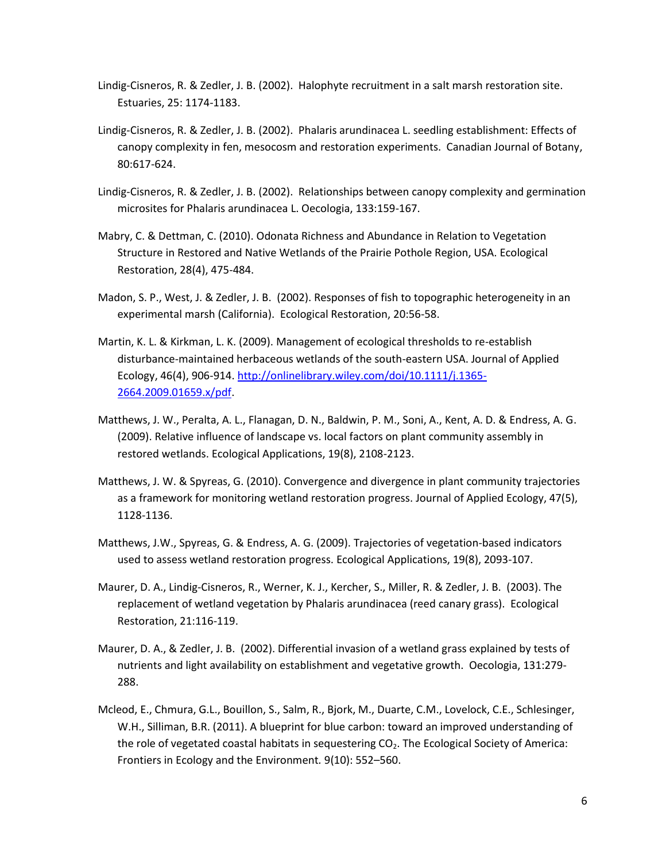- Lindig-Cisneros, R. & Zedler, J. B. (2002). Halophyte recruitment in a salt marsh restoration site. Estuaries, 25: 1174-1183.
- Lindig-Cisneros, R. & Zedler, J. B. (2002). Phalaris arundinacea L. seedling establishment: Effects of canopy complexity in fen, mesocosm and restoration experiments. Canadian Journal of Botany, 80:617-624.
- Lindig-Cisneros, R. & Zedler, J. B. (2002). Relationships between canopy complexity and germination microsites for Phalaris arundinacea L. Oecologia, 133:159-167.
- Mabry, C. & Dettman, C. (2010). Odonata Richness and Abundance in Relation to Vegetation Structure in Restored and Native Wetlands of the Prairie Pothole Region, USA. Ecological Restoration, 28(4), 475-484.
- Madon, S. P., West, J. & Zedler, J. B. (2002). Responses of fish to topographic heterogeneity in an experimental marsh (California). Ecological Restoration, 20:56-58.
- Martin, K. L. & Kirkman, L. K. (2009). Management of ecological thresholds to re-establish disturbance-maintained herbaceous wetlands of the south-eastern USA. Journal of Applied Ecology, 46(4), 906-914. [http://onlinelibrary.wiley.com/doi/10.1111/j.1365-](http://onlinelibrary.wiley.com/doi/10.1111/j.1365-2664.2009.01659.x/pdf) [2664.2009.01659.x/pdf.](http://onlinelibrary.wiley.com/doi/10.1111/j.1365-2664.2009.01659.x/pdf)
- Matthews, J. W., Peralta, A. L., Flanagan, D. N., Baldwin, P. M., Soni, A., Kent, A. D. & Endress, A. G. (2009). Relative influence of landscape vs. local factors on plant community assembly in restored wetlands. Ecological Applications, 19(8), 2108-2123.
- Matthews, J. W. & Spyreas, G. (2010). Convergence and divergence in plant community trajectories as a framework for monitoring wetland restoration progress. Journal of Applied Ecology, 47(5), 1128-1136.
- Matthews, J.W., Spyreas, G. & Endress, A. G. (2009). Trajectories of vegetation-based indicators used to assess wetland restoration progress. Ecological Applications, 19(8), 2093-107.
- Maurer, D. A., Lindig-Cisneros, R., Werner, K. J., Kercher, S., Miller, R. & Zedler, J. B. (2003). The replacement of wetland vegetation by Phalaris arundinacea (reed canary grass). Ecological Restoration, 21:116-119.
- Maurer, D. A., & Zedler, J. B. (2002). Differential invasion of a wetland grass explained by tests of nutrients and light availability on establishment and vegetative growth. Oecologia, 131:279- 288.
- Mcleod, E., Chmura, G.L., Bouillon, S., Salm, R., Bjork, M., Duarte, C.M., Lovelock, C.E., Schlesinger, W.H., Silliman, B.R. (2011). A blueprint for blue carbon: toward an improved understanding of the role of vegetated coastal habitats in sequestering  $CO<sub>2</sub>$ . The Ecological Society of America: Frontiers in Ecology and the Environment*.* 9(10): 552–560.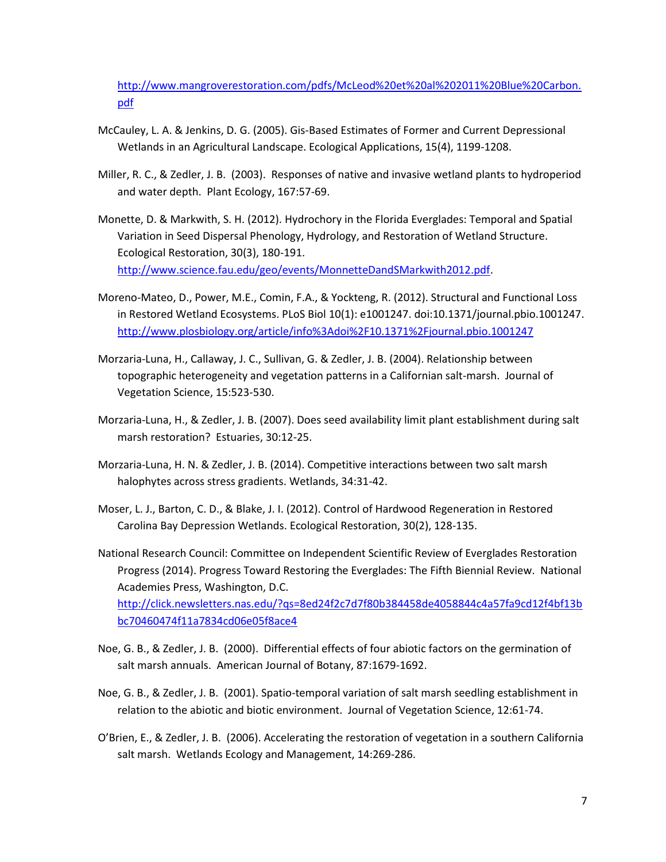[http://www.mangroverestoration.com/pdfs/McLeod%20et%20al%202011%20Blue%20Carbon.](http://www.mangroverestoration.com/pdfs/McLeod%20et%20al%202011%20Blue%20Carbon.pdf) [pdf](http://www.mangroverestoration.com/pdfs/McLeod%20et%20al%202011%20Blue%20Carbon.pdf)

- McCauley, L. A. & Jenkins, D. G. (2005). Gis-Based Estimates of Former and Current Depressional Wetlands in an Agricultural Landscape. Ecological Applications, 15(4), 1199-1208.
- Miller, R. C., & Zedler, J. B. (2003). Responses of native and invasive wetland plants to hydroperiod and water depth. Plant Ecology, 167:57-69.
- Monette, D. & Markwith, S. H. (2012). Hydrochory in the Florida Everglades: Temporal and Spatial Variation in Seed Dispersal Phenology, Hydrology, and Restoration of Wetland Structure. Ecological Restoration, 30(3), 180-191. [http://www.science.fau.edu/geo/events/MonnetteDandSMarkwith2012.pdf.](http://www.science.fau.edu/geo/events/MonnetteDandSMarkwith2012.pdf)
- Moreno-Mateo, D., Power, M.E., Comin, F.A., & Yockteng, R. (2012). Structural and Functional Loss in Restored Wetland Ecosystems. PLoS Biol 10(1): e1001247. doi:10.1371/journal.pbio.1001247. <http://www.plosbiology.org/article/info%3Adoi%2F10.1371%2Fjournal.pbio.1001247>
- Morzaria-Luna, H., Callaway, J. C., Sullivan, G. & Zedler, J. B. (2004). Relationship between topographic heterogeneity and vegetation patterns in a Californian salt-marsh. Journal of Vegetation Science, 15:523-530.
- Morzaria-Luna, H., & Zedler, J. B. (2007). Does seed availability limit plant establishment during salt marsh restoration? Estuaries, 30:12-25.
- Morzaria-Luna, H. N. & Zedler, J. B. (2014). Competitive interactions between two salt marsh halophytes across stress gradients. Wetlands, 34:31-42.
- Moser, L. J., Barton, C. D., & Blake, J. I. (2012). Control of Hardwood Regeneration in Restored Carolina Bay Depression Wetlands. Ecological Restoration, 30(2), 128-135.
- National Research Council: Committee on Independent Scientific Review of Everglades Restoration Progress (2014). Progress Toward Restoring the Everglades: The Fifth Biennial Review. National Academies Press, Washington, D.C. [http://click.newsletters.nas.edu/?qs=8ed24f2c7d7f80b384458de4058844c4a57fa9cd12f4bf13b](http://click.newsletters.nas.edu/?qs=8ed24f2c7d7f80b384458de4058844c4a57fa9cd12f4bf13bbc70460474f11a7834cd06e05f8ace4) [bc70460474f11a7834cd06e05f8ace4](http://click.newsletters.nas.edu/?qs=8ed24f2c7d7f80b384458de4058844c4a57fa9cd12f4bf13bbc70460474f11a7834cd06e05f8ace4)
- Noe, G. B., & Zedler, J. B. (2000). Differential effects of four abiotic factors on the germination of salt marsh annuals. American Journal of Botany, 87:1679-1692.
- Noe, G. B., & Zedler, J. B. (2001). Spatio-temporal variation of salt marsh seedling establishment in relation to the abiotic and biotic environment. Journal of Vegetation Science, 12:61-74.
- O'Brien, E., & Zedler, J. B. (2006). Accelerating the restoration of vegetation in a southern California salt marsh. Wetlands Ecology and Management, 14:269-286.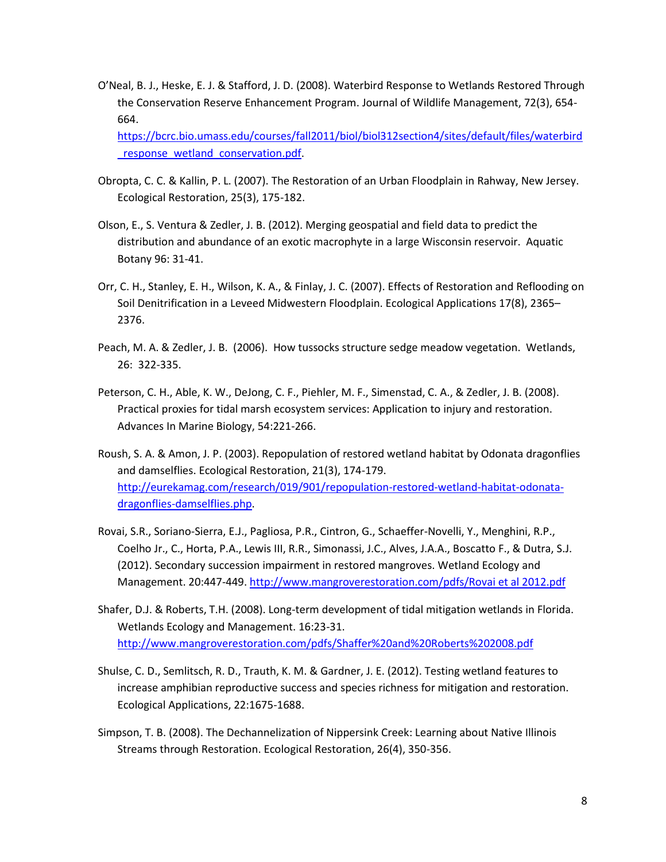O'Neal, B. J., Heske, E. J. & Stafford, J. D. (2008). Waterbird Response to Wetlands Restored Through the Conservation Reserve Enhancement Program. Journal of Wildlife Management, 72(3), 654- 664.

[https://bcrc.bio.umass.edu/courses/fall2011/biol/biol312section4/sites/default/files/waterbird](https://bcrc.bio.umass.edu/courses/fall2011/biol/biol312section4/sites/default/files/waterbird_response_wetland_conservation.pdf) response wetland conservation.pdf.

- Obropta, C. C. & Kallin, P. L. (2007). The Restoration of an Urban Floodplain in Rahway, New Jersey. Ecological Restoration, 25(3), 175-182.
- Olson, E., S. Ventura & Zedler, J. B. (2012). Merging geospatial and field data to predict the distribution and abundance of an exotic macrophyte in a large Wisconsin reservoir. Aquatic Botany 96: 31-41.
- Orr, C. H., Stanley, E. H., Wilson, K. A., & Finlay, J. C. (2007). Effects of Restoration and Reflooding on Soil Denitrification in a Leveed Midwestern Floodplain. Ecological Applications 17(8), 2365– 2376.
- Peach, M. A. & Zedler, J. B. (2006). How tussocks structure sedge meadow vegetation. Wetlands, 26: 322-335.
- Peterson, C. H., Able, K. W., DeJong, C. F., Piehler, M. F., Simenstad, C. A., & Zedler, J. B. (2008). Practical proxies for tidal marsh ecosystem services: Application to injury and restoration. Advances In Marine Biology, 54:221-266.
- Roush, S. A. & Amon, J. P. (2003). Repopulation of restored wetland habitat by Odonata dragonflies and damselflies. Ecological Restoration, 21(3), 174-179. [http://eurekamag.com/research/019/901/repopulation-restored-wetland-habitat-odonata](http://eurekamag.com/research/019/901/repopulation-restored-wetland-habitat-odonata-dragonflies-damselflies.php)[dragonflies-damselflies.php.](http://eurekamag.com/research/019/901/repopulation-restored-wetland-habitat-odonata-dragonflies-damselflies.php)
- Rovai, S.R., Soriano-Sierra, E.J., Pagliosa, P.R., Cintron, G., Schaeffer-Novelli, Y., Menghini, R.P., Coelho Jr., C., Horta, P.A., Lewis III, R.R., Simonassi, J.C., Alves, J.A.A., Boscatto F., & Dutra, S.J. (2012). Secondary succession impairment in restored mangroves. Wetland Ecology and Management. 20:447-449. [http://www.mangroverestoration.com/pdfs/Rovai et al 2012.pdf](http://www.mangroverestoration.com/pdfs/Rovai%20et%20al%202012.pdf)
- Shafer, D.J. & Roberts, T.H. (2008). Long-term development of tidal mitigation wetlands in Florida. Wetlands Ecology and Management. 16:23-31. <http://www.mangroverestoration.com/pdfs/Shaffer%20and%20Roberts%202008.pdf>
- Shulse, C. D., Semlitsch, R. D., Trauth, K. M. & Gardner, J. E. (2012). Testing wetland features to increase amphibian reproductive success and species richness for mitigation and restoration. Ecological Applications, 22:1675-1688.
- Simpson, T. B. (2008). The Dechannelization of Nippersink Creek: Learning about Native Illinois Streams through Restoration. Ecological Restoration, 26(4), 350-356.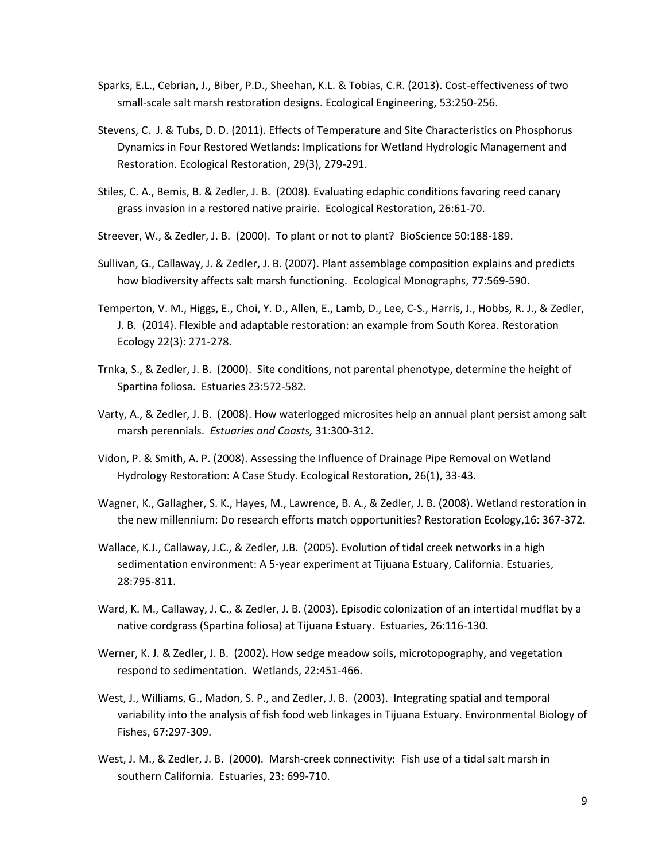- Sparks, E.L., Cebrian, J., Biber, P.D., Sheehan, K.L. & Tobias, C.R. (2013). Cost-effectiveness of two small-scale salt marsh restoration designs. Ecological Engineering, 53:250-256.
- Stevens, C. J. & Tubs, D. D. (2011). Effects of Temperature and Site Characteristics on Phosphorus Dynamics in Four Restored Wetlands: Implications for Wetland Hydrologic Management and Restoration. Ecological Restoration, 29(3), 279-291.
- Stiles, C. A., Bemis, B. & Zedler, J. B. (2008). Evaluating edaphic conditions favoring reed canary grass invasion in a restored native prairie. Ecological Restoration, 26:61-70.
- Streever, W., & Zedler, J. B. (2000). To plant or not to plant? BioScience 50:188-189.
- Sullivan, G., Callaway, J. & Zedler, J. B. (2007). Plant assemblage composition explains and predicts how biodiversity affects salt marsh functioning. Ecological Monographs, 77:569-590.
- Temperton, V. M., Higgs, E., Choi, Y. D., Allen, E., Lamb, D., Lee, C-S., Harris, J., Hobbs, R. J., & Zedler, J. B. (2014). Flexible and adaptable restoration: an example from South Korea. Restoration Ecology 22(3): 271-278.
- Trnka, S., & Zedler, J. B. (2000). Site conditions, not parental phenotype, determine the height of Spartina foliosa. Estuaries 23:572-582.
- Varty, A., & Zedler, J. B. (2008). How waterlogged microsites help an annual plant persist among salt marsh perennials. *Estuaries and Coasts,* 31:300-312.
- Vidon, P. & Smith, A. P. (2008). Assessing the Influence of Drainage Pipe Removal on Wetland Hydrology Restoration: A Case Study. Ecological Restoration, 26(1), 33-43.
- Wagner, K., Gallagher, S. K., Hayes, M., Lawrence, B. A., & Zedler, J. B. (2008). Wetland restoration in the new millennium: Do research efforts match opportunities? Restoration Ecology,16: 367-372.
- Wallace, K.J., Callaway, J.C., & Zedler, J.B. (2005). Evolution of tidal creek networks in a high sedimentation environment: A 5-year experiment at Tijuana Estuary, California. Estuaries, 28:795-811.
- Ward, K. M., Callaway, J. C., & Zedler, J. B. (2003). Episodic colonization of an intertidal mudflat by a native cordgrass (Spartina foliosa) at Tijuana Estuary. Estuaries, 26:116-130.
- Werner, K. J. & Zedler, J. B. (2002). How sedge meadow soils, microtopography, and vegetation respond to sedimentation. Wetlands, 22:451-466.
- West, J., Williams, G., Madon, S. P., and Zedler, J. B. (2003). Integrating spatial and temporal variability into the analysis of fish food web linkages in Tijuana Estuary. Environmental Biology of Fishes, 67:297-309.
- West, J. M., & Zedler, J. B. (2000). Marsh-creek connectivity: Fish use of a tidal salt marsh in southern California. Estuaries, 23: 699-710.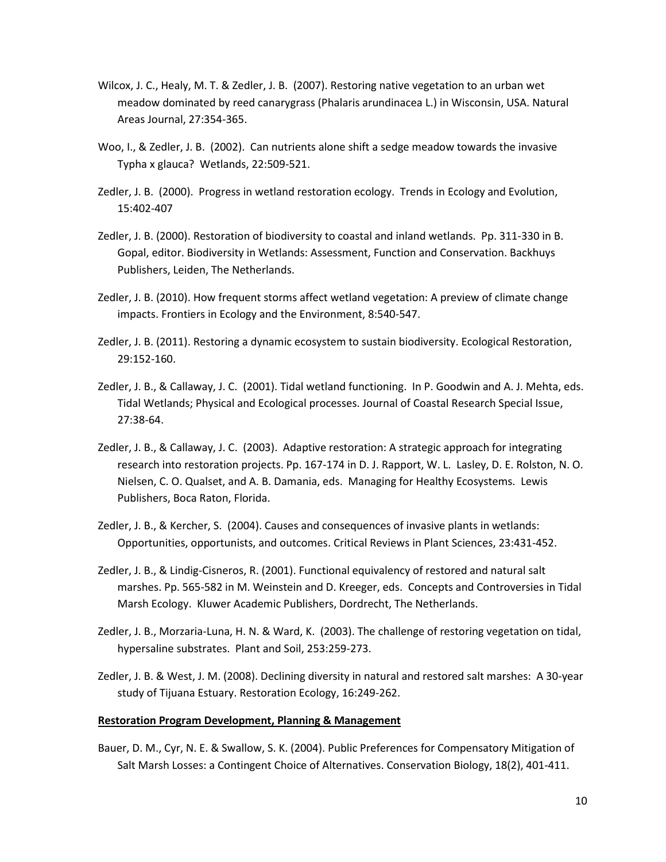- Wilcox, J. C., Healy, M. T. & Zedler, J. B. (2007). Restoring native vegetation to an urban wet meadow dominated by reed canarygrass (Phalaris arundinacea L.) in Wisconsin, USA. Natural Areas Journal, 27:354-365.
- Woo, I., & Zedler, J. B. (2002). Can nutrients alone shift a sedge meadow towards the invasive Typha x glauca? Wetlands, 22:509-521.
- Zedler, J. B. (2000). Progress in wetland restoration ecology. Trends in Ecology and Evolution, 15:402-407
- Zedler, J. B. (2000). Restoration of biodiversity to coastal and inland wetlands. Pp. 311-330 in B. Gopal, editor. Biodiversity in Wetlands: Assessment, Function and Conservation. Backhuys Publishers, Leiden, The Netherlands.
- Zedler, J. B. (2010). How frequent storms affect wetland vegetation: A preview of climate change impacts. Frontiers in Ecology and the Environment, 8:540-547.
- Zedler, J. B. (2011). Restoring a dynamic ecosystem to sustain biodiversity. Ecological Restoration, 29:152-160.
- Zedler, J. B., & Callaway, J. C. (2001). Tidal wetland functioning. In P. Goodwin and A. J. Mehta, eds. Tidal Wetlands; Physical and Ecological processes. Journal of Coastal Research Special Issue, 27:38-64.
- Zedler, J. B., & Callaway, J. C. (2003). Adaptive restoration: A strategic approach for integrating research into restoration projects. Pp. 167-174 in D. J. Rapport, W. L. Lasley, D. E. Rolston, N. O. Nielsen, C. O. Qualset, and A. B. Damania, eds. Managing for Healthy Ecosystems. Lewis Publishers, Boca Raton, Florida.
- Zedler, J. B., & Kercher, S. (2004). Causes and consequences of invasive plants in wetlands: Opportunities, opportunists, and outcomes. Critical Reviews in Plant Sciences, 23:431-452.
- Zedler, J. B., & Lindig-Cisneros, R. (2001). Functional equivalency of restored and natural salt marshes. Pp. 565-582 in M. Weinstein and D. Kreeger, eds. Concepts and Controversies in Tidal Marsh Ecology. Kluwer Academic Publishers, Dordrecht, The Netherlands.
- Zedler, J. B., Morzaria-Luna, H. N. & Ward, K. (2003). The challenge of restoring vegetation on tidal, hypersaline substrates. Plant and Soil, 253:259-273.
- Zedler, J. B. & West, J. M. (2008). Declining diversity in natural and restored salt marshes: A 30-year study of Tijuana Estuary. Restoration Ecology, 16:249-262.

#### **Restoration Program Development, Planning & Management**

Bauer, D. M., Cyr, N. E. & Swallow, S. K. (2004). Public Preferences for Compensatory Mitigation of Salt Marsh Losses: a Contingent Choice of Alternatives. Conservation Biology, 18(2), 401-411.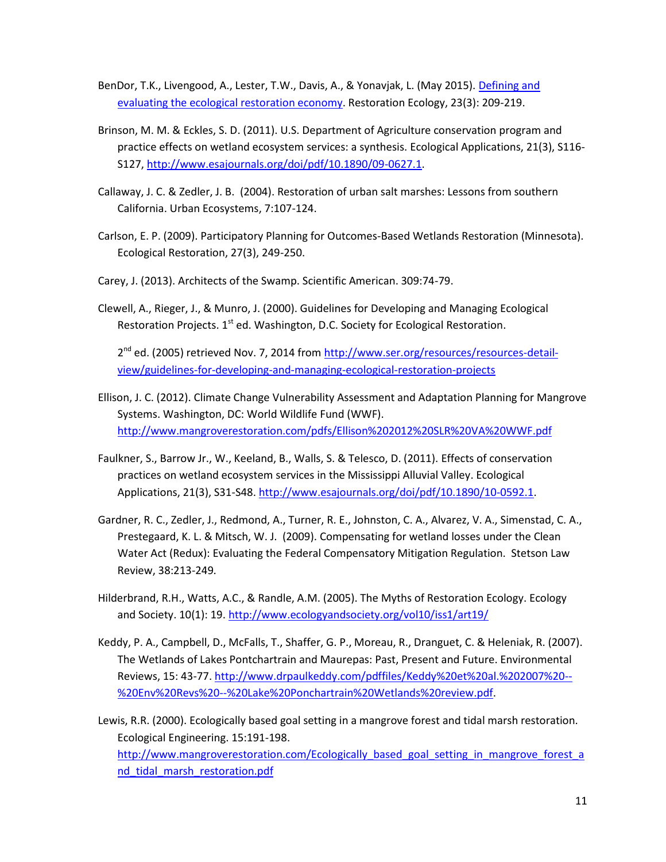- BenDor, T.K., Livengood, A., Lester, T.W., Davis, A., & Yonavjak, L. (May 2015). [Defining and](http://www.academia.edu/11990518/Defining_and_evaluating_the_ecological_restoration_economy)  [evaluating the ecological restoration economy.](http://www.academia.edu/11990518/Defining_and_evaluating_the_ecological_restoration_economy) Restoration Ecology, 23(3): 209-219.
- Brinson, M. M. & Eckles, S. D. (2011). U.S. Department of Agriculture conservation program and practice effects on wetland ecosystem services: a synthesis. Ecological Applications, 21(3), S116- S127, [http://www.esajournals.org/doi/pdf/10.1890/09-0627.1.](http://www.esajournals.org/doi/pdf/10.1890/09-0627.1)
- Callaway, J. C. & Zedler, J. B. (2004). Restoration of urban salt marshes: Lessons from southern California. Urban Ecosystems, 7:107-124.
- Carlson, E. P. (2009). Participatory Planning for Outcomes-Based Wetlands Restoration (Minnesota). Ecological Restoration, 27(3), 249-250.
- Carey, J. (2013). Architects of the Swamp. Scientific American. 309:74-79.
- Clewell, A., Rieger, J., & Munro, J. (2000). Guidelines for Developing and Managing Ecological Restoration Projects.  $1<sup>st</sup>$  ed. Washington, D.C. Society for Ecological Restoration.

2<sup>nd</sup> ed. (2005) retrieved Nov. 7, 2014 from [http://www.ser.org/resources/resources-detail](http://www.ser.org/resources/resources-detail-view/guidelines-for-developing-and-managing-ecological-restoration-projects)[view/guidelines-for-developing-and-managing-ecological-restoration-projects](http://www.ser.org/resources/resources-detail-view/guidelines-for-developing-and-managing-ecological-restoration-projects)

- Ellison, J. C. (2012). Climate Change Vulnerability Assessment and Adaptation Planning for Mangrove Systems. Washington, DC: World Wildlife Fund (WWF). <http://www.mangroverestoration.com/pdfs/Ellison%202012%20SLR%20VA%20WWF.pdf>
- Faulkner, S., Barrow Jr., W., Keeland, B., Walls, S. & Telesco, D. (2011). Effects of conservation practices on wetland ecosystem services in the Mississippi Alluvial Valley. Ecological Applications, 21(3), S31-S48. [http://www.esajournals.org/doi/pdf/10.1890/10-0592.1.](http://www.esajournals.org/doi/pdf/10.1890/10-0592.1)
- Gardner, R. C., Zedler, J., Redmond, A., Turner, R. E., Johnston, C. A., Alvarez, V. A., Simenstad, C. A., Prestegaard, K. L. & Mitsch, W. J. (2009). Compensating for wetland losses under the Clean Water Act (Redux): Evaluating the Federal Compensatory Mitigation Regulation. Stetson Law Review, 38:213-249*.*
- Hilderbrand, R.H., Watts, A.C., & Randle, A.M. (2005). The Myths of Restoration Ecology. Ecology and Society. 10(1): 19.<http://www.ecologyandsociety.org/vol10/iss1/art19/>
- Keddy, P. A., Campbell, D., McFalls, T., Shaffer, G. P., Moreau, R., Dranguet, C. & Heleniak, R. (2007). The Wetlands of Lakes Pontchartrain and Maurepas: Past, Present and Future. Environmental Reviews, 15: 43-77[. http://www.drpaulkeddy.com/pdffiles/Keddy%20et%20al.%202007%20--](http://www.drpaulkeddy.com/pdffiles/Keddy%20et%20al.%202007%20--%20Env%20Revs%20--%20Lake%20Ponchartrain%20Wetlands%20review.pdf) [%20Env%20Revs%20--%20Lake%20Ponchartrain%20Wetlands%20review.pdf.](http://www.drpaulkeddy.com/pdffiles/Keddy%20et%20al.%202007%20--%20Env%20Revs%20--%20Lake%20Ponchartrain%20Wetlands%20review.pdf)
- Lewis, R.R. (2000). Ecologically based goal setting in a mangrove forest and tidal marsh restoration. Ecological Engineering. 15:191-198. [http://www.mangroverestoration.com/Ecologically\\_based\\_goal\\_setting\\_in\\_mangrove\\_forest\\_a](http://www.mangroverestoration.com/Ecologically_based_goal_setting_in_mangrove_forest_and_tidal_marsh_restoration.pdf) nd tidal marsh restoration.pdf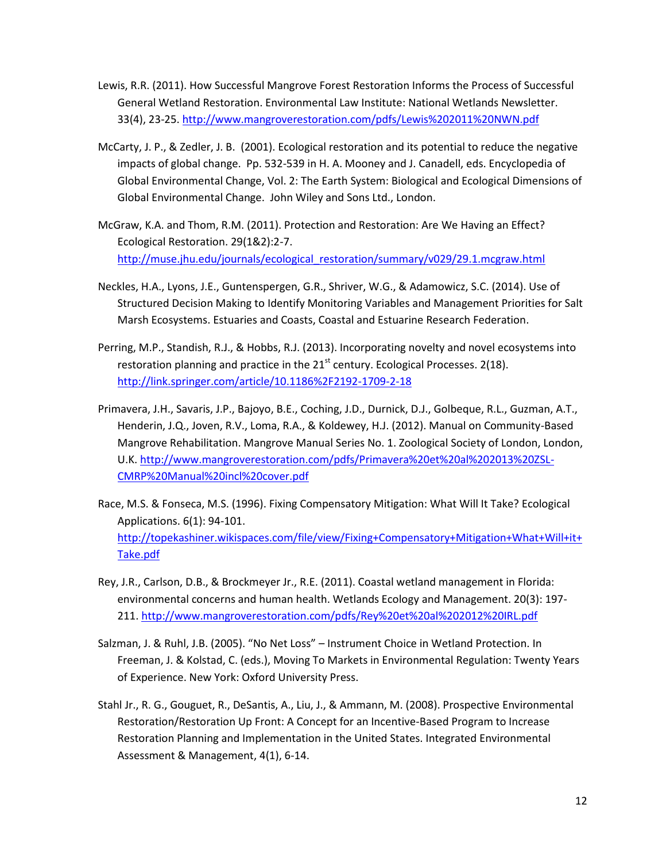- Lewis, R.R. (2011). How Successful Mangrove Forest Restoration Informs the Process of Successful General Wetland Restoration. Environmental Law Institute: National Wetlands Newsletter. 33(4), 23-25[. http://www.mangroverestoration.com/pdfs/Lewis%202011%20NWN.pdf](http://www.mangroverestoration.com/pdfs/Lewis%202011%20NWN.pdf)
- McCarty, J. P., & Zedler, J. B. (2001). Ecological restoration and its potential to reduce the negative impacts of global change. Pp. 532-539 in H. A. Mooney and J. Canadell, eds. Encyclopedia of Global Environmental Change, Vol. 2: The Earth System: Biological and Ecological Dimensions of Global Environmental Change. John Wiley and Sons Ltd., London.
- McGraw, K.A. and Thom, R.M. (2011). Protection and Restoration: Are We Having an Effect? Ecological Restoration. 29(1&2):2-7. [http://muse.jhu.edu/journals/ecological\\_restoration/summary/v029/29.1.mcgraw.html](http://muse.jhu.edu/journals/ecological_restoration/summary/v029/29.1.mcgraw.html)
- Neckles, H.A., Lyons, J.E., Guntenspergen, G.R., Shriver, W.G., & Adamowicz, S.C. (2014). Use of Structured Decision Making to Identify Monitoring Variables and Management Priorities for Salt Marsh Ecosystems. Estuaries and Coasts, Coastal and Estuarine Research Federation.
- Perring, M.P., Standish, R.J., & Hobbs, R.J. (2013). Incorporating novelty and novel ecosystems into restoration planning and practice in the  $21<sup>st</sup>$  century. Ecological Processes. 2(18). <http://link.springer.com/article/10.1186%2F2192-1709-2-18>
- Primavera, J.H., Savaris, J.P., Bajoyo, B.E., Coching, J.D., Durnick, D.J., Golbeque, R.L., Guzman, A.T., Henderin, J.Q., Joven, R.V., Loma, R.A., & Koldewey, H.J. (2012). Manual on Community-Based Mangrove Rehabilitation. Mangrove Manual Series No. 1. Zoological Society of London, London, U.K. [http://www.mangroverestoration.com/pdfs/Primavera%20et%20al%202013%20ZSL-](http://www.mangroverestoration.com/pdfs/Primavera%20et%20al%202013%20ZSL-CMRP%20Manual%20incl%20cover.pdf)[CMRP%20Manual%20incl%20cover.pdf](http://www.mangroverestoration.com/pdfs/Primavera%20et%20al%202013%20ZSL-CMRP%20Manual%20incl%20cover.pdf)
- Race, M.S. & Fonseca, M.S. (1996). Fixing Compensatory Mitigation: What Will It Take? Ecological Applications. 6(1): 94-101. [http://topekashiner.wikispaces.com/file/view/Fixing+Compensatory+Mitigation+What+Will+it+](http://topekashiner.wikispaces.com/file/view/Fixing+Compensatory+Mitigation+What+Will+it+Take.pdf) [Take.pdf](http://topekashiner.wikispaces.com/file/view/Fixing+Compensatory+Mitigation+What+Will+it+Take.pdf)
- Rey, J.R., Carlson, D.B., & Brockmeyer Jr., R.E. (2011). Coastal wetland management in Florida: environmental concerns and human health. Wetlands Ecology and Management. 20(3): 197- 211.<http://www.mangroverestoration.com/pdfs/Rey%20et%20al%202012%20IRL.pdf>
- Salzman, J. & Ruhl, J.B. (2005). "No Net Loss" Instrument Choice in Wetland Protection. In Freeman, J. & Kolstad, C. (eds.), Moving To Markets in Environmental Regulation: Twenty Years of Experience. New York: Oxford University Press.
- Stahl Jr., R. G., Gouguet, R., DeSantis, A., Liu, J., & Ammann, M. (2008). Prospective Environmental Restoration/Restoration Up Front: A Concept for an Incentive-Based Program to Increase Restoration Planning and Implementation in the United States. Integrated Environmental Assessment & Management, 4(1), 6-14.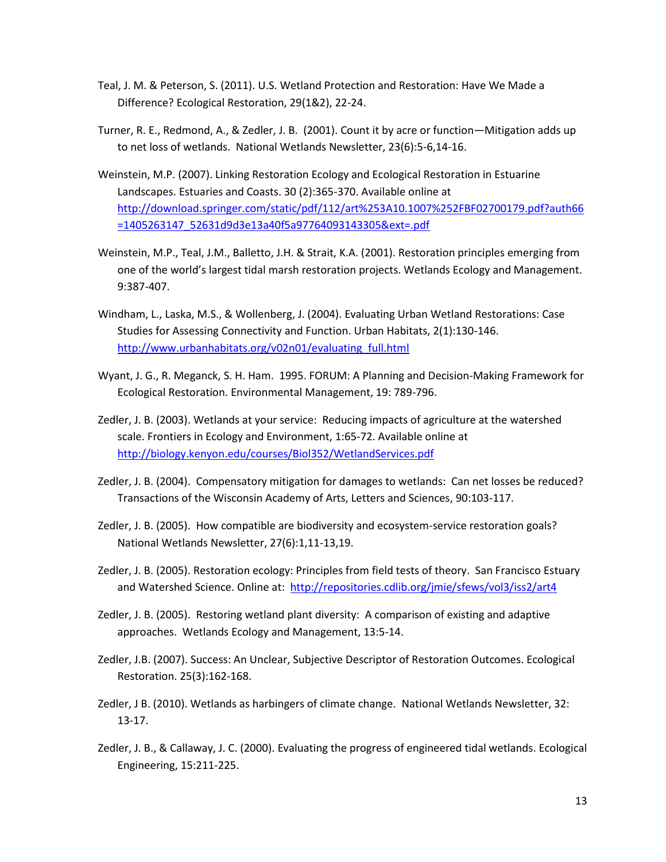- Teal, J. M. & Peterson, S. (2011). U.S. Wetland Protection and Restoration: Have We Made a Difference? Ecological Restoration, 29(1&2), 22-24.
- Turner, R. E., Redmond, A., & Zedler, J. B. (2001). Count it by acre or function—Mitigation adds up to net loss of wetlands. National Wetlands Newsletter, 23(6):5-6,14-16.
- Weinstein, M.P. (2007). Linking Restoration Ecology and Ecological Restoration in Estuarine Landscapes. Estuaries and Coasts. 30 (2):365-370. Available online at [http://download.springer.com/static/pdf/112/art%253A10.1007%252FBF02700179.pdf?auth66](http://download.springer.com/static/pdf/112/art%253A10.1007%252FBF02700179.pdf?auth66=1405263147_52631d9d3e13a40f5a97764093143305&ext=.pdf) [=1405263147\\_52631d9d3e13a40f5a97764093143305&ext=.pdf](http://download.springer.com/static/pdf/112/art%253A10.1007%252FBF02700179.pdf?auth66=1405263147_52631d9d3e13a40f5a97764093143305&ext=.pdf)
- Weinstein, M.P., Teal, J.M., Balletto, J.H. & Strait, K.A. (2001). Restoration principles emerging from one of the world's largest tidal marsh restoration projects. Wetlands Ecology and Management. 9:387-407.
- Windham, L., Laska, M.S., & Wollenberg, J. (2004). Evaluating Urban Wetland Restorations: Case Studies for Assessing Connectivity and Function. Urban Habitats, 2(1):130-146. [http://www.urbanhabitats.org/v02n01/evaluating\\_full.html](http://www.urbanhabitats.org/v02n01/evaluating_full.html)
- Wyant, J. G., R. Meganck, S. H. Ham. 1995. FORUM: A Planning and Decision-Making Framework for Ecological Restoration. Environmental Management, 19: 789-796.
- Zedler, J. B. (2003). Wetlands at your service: Reducing impacts of agriculture at the watershed scale. Frontiers in Ecology and Environment, 1:65-72. Available online at <http://biology.kenyon.edu/courses/Biol352/WetlandServices.pdf>
- Zedler, J. B. (2004). Compensatory mitigation for damages to wetlands: Can net losses be reduced? Transactions of the Wisconsin Academy of Arts, Letters and Sciences, 90:103-117.
- Zedler, J. B. (2005). How compatible are biodiversity and ecosystem-service restoration goals? National Wetlands Newsletter, 27(6):1,11-13,19.
- Zedler, J. B. (2005). Restoration ecology: Principles from field tests of theory. San Francisco Estuary and Watershed Science. Online at: <http://repositories.cdlib.org/jmie/sfews/vol3/iss2/art4>
- Zedler, J. B. (2005). Restoring wetland plant diversity: A comparison of existing and adaptive approaches. Wetlands Ecology and Management, 13:5-14.
- Zedler, J.B. (2007). Success: An Unclear, Subjective Descriptor of Restoration Outcomes. Ecological Restoration. 25(3):162-168.
- Zedler, J B. (2010). Wetlands as harbingers of climate change.National Wetlands Newsletter, 32: 13-17.
- Zedler, J. B., & Callaway, J. C. (2000). Evaluating the progress of engineered tidal wetlands. Ecological Engineering, 15:211-225.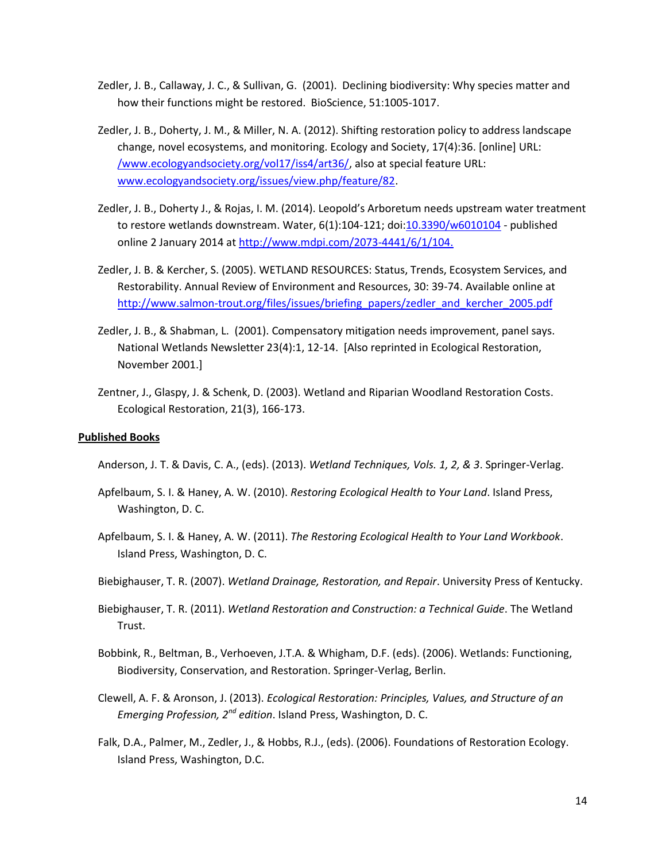- Zedler, J. B., Callaway, J. C., & Sullivan, G. (2001). Declining biodiversity: Why species matter and how their functions might be restored. BioScience, 51:1005-1017.
- Zedler, J. B., Doherty, J. M., & Miller, N. A. (2012). Shifting restoration policy to address landscape change, novel ecosystems, and monitoring. Ecology and Society, 17(4):36. [online] URL: [/www.ecologyandsociety.org/vol17/iss4/art36/,](http://www.ecologyandsociety.org/vol17/iss4/art36/) also at special feature URL: [www.ecologyandsociety.org/issues/view.php/feature/82.](http://www.ecologyandsociety.org/issues/view.php/feature/82)
- Zedler, J. B., Doherty J., & Rojas, I. M. (2014). Leopold's Arboretum needs upstream water treatment to restore wetlands downstream. Water, 6(1):104-121; doi[:10.3390/w6010104](http://dx.doi.org/10.3390/w6010104) - published online 2 January 2014 a[t http://www.mdpi.com/2073-4441/6/1/104.](http://www.mdpi.com/2073-4441/6/1/104.)
- Zedler, J. B. & Kercher, S. (2005). WETLAND RESOURCES: Status, Trends, Ecosystem Services, and Restorability. Annual Review of Environment and Resources, 30: 39-74. Available online at [http://www.salmon-trout.org/files/issues/briefing\\_papers/zedler\\_and\\_kercher\\_2005.pdf](http://www.salmon-trout.org/files/issues/briefing_papers/zedler_and_kercher_2005.pdf)
- Zedler, J. B., & Shabman, L. (2001). Compensatory mitigation needs improvement, panel says. National Wetlands Newsletter 23(4):1, 12-14. [Also reprinted in Ecological Restoration, November 2001.]
- Zentner, J., Glaspy, J. & Schenk, D. (2003). Wetland and Riparian Woodland Restoration Costs. Ecological Restoration, 21(3), 166-173.

### **Published Books**

- Anderson, J. T. & Davis, C. A., (eds). (2013). *Wetland Techniques, Vols. 1, 2, & 3*. Springer-Verlag.
- Apfelbaum, S. I. & Haney, A. W. (2010). *Restoring Ecological Health to Your Land*. Island Press, Washington, D. C.
- Apfelbaum, S. I. & Haney, A. W. (2011). *The Restoring Ecological Health to Your Land Workbook*. Island Press, Washington, D. C.
- Biebighauser, T. R. (2007). *Wetland Drainage, Restoration, and Repair*. University Press of Kentucky.
- Biebighauser, T. R. (2011). *Wetland Restoration and Construction: a Technical Guide*. The Wetland Trust.
- Bobbink, R., Beltman, B., Verhoeven, J.T.A. & Whigham, D.F. (eds). (2006). Wetlands: Functioning, Biodiversity, Conservation, and Restoration. Springer-Verlag, Berlin.
- Clewell, A. F. & Aronson, J. (2013). *Ecological Restoration: Principles, Values, and Structure of an Emerging Profession, 2nd edition*. Island Press, Washington, D. C.
- Falk, D.A., Palmer, M., Zedler, J., & Hobbs, R.J., (eds). (2006). Foundations of Restoration Ecology. Island Press, Washington, D.C.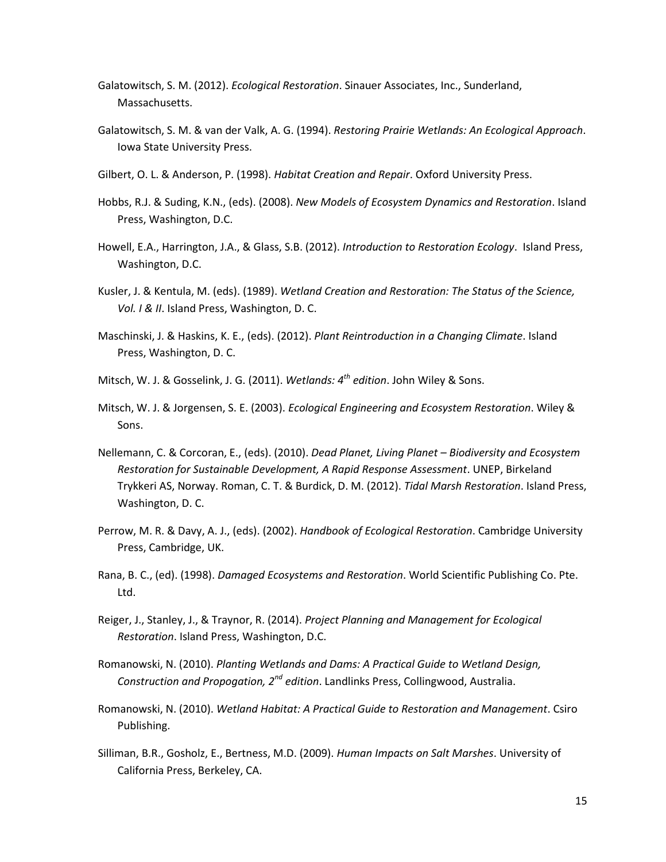- Galatowitsch, S. M. (2012). *Ecological Restoration*. Sinauer Associates, Inc., Sunderland, Massachusetts.
- Galatowitsch, S. M. & van der Valk, A. G. (1994). *Restoring Prairie Wetlands: An Ecological Approach*. Iowa State University Press.
- Gilbert, O. L. & Anderson, P. (1998). *Habitat Creation and Repair*. Oxford University Press.
- Hobbs, R.J. & Suding, K.N., (eds). (2008). *New Models of Ecosystem Dynamics and Restoration*. Island Press, Washington, D.C.
- Howell, E.A., Harrington, J.A., & Glass, S.B. (2012). *Introduction to Restoration Ecology*. Island Press, Washington, D.C.
- Kusler, J. & Kentula, M. (eds). (1989). *Wetland Creation and Restoration: The Status of the Science, Vol. I & II*. Island Press, Washington, D. C.
- Maschinski, J. & Haskins, K. E., (eds). (2012). *Plant Reintroduction in a Changing Climate*. Island Press, Washington, D. C.
- Mitsch, W. J. & Gosselink, J. G. (2011). *Wetlands: 4th edition*. John Wiley & Sons.
- Mitsch, W. J. & Jorgensen, S. E. (2003). *Ecological Engineering and Ecosystem Restoration*. Wiley & Sons.
- Nellemann, C. & Corcoran, E., (eds). (2010). *Dead Planet, Living Planet – Biodiversity and Ecosystem Restoration for Sustainable Development, A Rapid Response Assessment*. UNEP, Birkeland Trykkeri AS, Norway. Roman, C. T. & Burdick, D. M. (2012). *Tidal Marsh Restoration*. Island Press, Washington, D. C.
- Perrow, M. R. & Davy, A. J., (eds). (2002). *Handbook of Ecological Restoration*. Cambridge University Press, Cambridge, UK.
- Rana, B. C., (ed). (1998). *Damaged Ecosystems and Restoration*. World Scientific Publishing Co. Pte. Ltd.
- Reiger, J., Stanley, J., & Traynor, R. (2014). *Project Planning and Management for Ecological Restoration*. Island Press, Washington, D.C.
- Romanowski, N. (2010). *Planting Wetlands and Dams: A Practical Guide to Wetland Design, Construction and Propogation, 2nd edition*. Landlinks Press, Collingwood, Australia.
- Romanowski, N. (2010). *Wetland Habitat: A Practical Guide to Restoration and Management*. Csiro Publishing.
- Silliman, B.R., Gosholz, E., Bertness, M.D. (2009). *Human Impacts on Salt Marshes*. University of California Press, Berkeley, CA.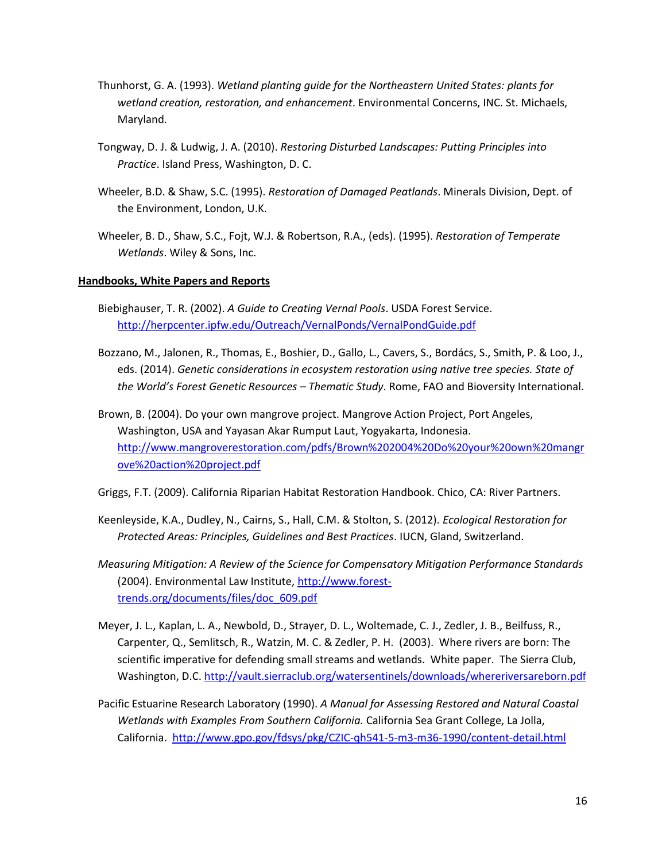- Thunhorst, G. A. (1993). *Wetland planting guide for the Northeastern United States: plants for wetland creation, restoration, and enhancement*. Environmental Concerns, INC. St. Michaels, Maryland.
- Tongway, D. J. & Ludwig, J. A. (2010). *Restoring Disturbed Landscapes: Putting Principles into Practice*. Island Press, Washington, D. C.
- Wheeler, B.D. & Shaw, S.C. (1995). *Restoration of Damaged Peatlands*. Minerals Division, Dept. of the Environment, London, U.K.
- Wheeler, B. D., Shaw, S.C., Fojt, W.J. & Robertson, R.A., (eds). (1995). *Restoration of Temperate Wetlands*. Wiley & Sons, Inc.

## **Handbooks, White Papers and Reports**

- Biebighauser, T. R. (2002). *A Guide to Creating Vernal Pools*. USDA Forest Service. <http://herpcenter.ipfw.edu/Outreach/VernalPonds/VernalPondGuide.pdf>
- Bozzano, M., Jalonen, R., Thomas, E., Boshier, D., Gallo, L., Cavers, S., Bordács, S., Smith, P. & Loo, J., eds. (2014). *Genetic considerations in ecosystem restoration using native tree species. State of the World's Forest Genetic Resources – Thematic Study*. Rome, FAO and Bioversity International.
- Brown, B. (2004). Do your own mangrove project. Mangrove Action Project, Port Angeles, Washington, USA and Yayasan Akar Rumput Laut, Yogyakarta, Indonesia. [http://www.mangroverestoration.com/pdfs/Brown%202004%20Do%20your%20own%20mangr](http://www.mangroverestoration.com/pdfs/Brown%202004%20Do%20your%20own%20mangrove%20action%20project.pdf) [ove%20action%20project.pdf](http://www.mangroverestoration.com/pdfs/Brown%202004%20Do%20your%20own%20mangrove%20action%20project.pdf)

Griggs, F.T. (2009). California Riparian Habitat Restoration Handbook. Chico, CA: River Partners.

- Keenleyside, K.A., Dudley, N., Cairns, S., Hall, C.M. & Stolton, S. (2012). *Ecological Restoration for Protected Areas: Principles, Guidelines and Best Practices*. IUCN, Gland, Switzerland.
- *Measuring Mitigation: A Review of the Science for Compensatory Mitigation Performance Standards* (2004). Environmental Law Institute, [http://www.forest](http://www.forest-trends.org/documents/files/doc_609.pdf)[trends.org/documents/files/doc\\_609.pdf](http://www.forest-trends.org/documents/files/doc_609.pdf)
- Meyer, J. L., Kaplan, L. A., Newbold, D., Strayer, D. L., Woltemade, C. J., Zedler, J. B., Beilfuss, R., Carpenter, Q., Semlitsch, R., Watzin, M. C. & Zedler, P. H. (2003). Where rivers are born: The scientific imperative for defending small streams and wetlands. White paper. The Sierra Club, Washington, D.C.<http://vault.sierraclub.org/watersentinels/downloads/whereriversareborn.pdf>
- Pacific Estuarine Research Laboratory (1990). *A Manual for Assessing Restored and Natural Coastal Wetlands with Examples From Southern California.* California Sea Grant College, La Jolla, California. <http://www.gpo.gov/fdsys/pkg/CZIC-qh541-5-m3-m36-1990/content-detail.html>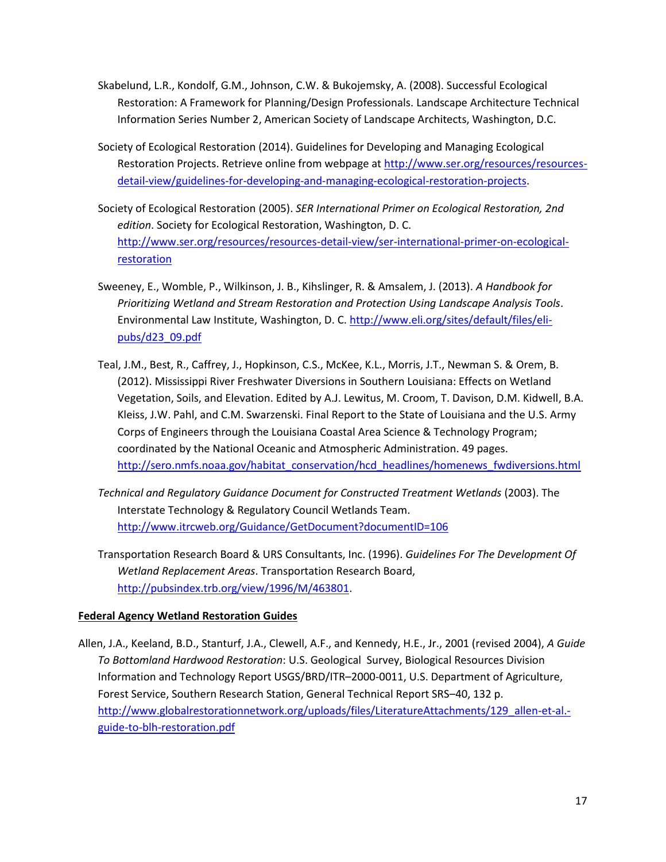- Skabelund, L.R., Kondolf, G.M., Johnson, C.W. & Bukojemsky, A. (2008). Successful Ecological Restoration: A Framework for Planning/Design Professionals. Landscape Architecture Technical Information Series Number 2, American Society of Landscape Architects, Washington, D.C.
- Society of Ecological Restoration (2014). Guidelines for Developing and Managing Ecological Restoration Projects. Retrieve online from webpage at [http://www.ser.org/resources/resources](http://www.ser.org/resources/resources-detail-view/guidelines-for-developing-and-managing-ecological-restoration-projects)[detail-view/guidelines-for-developing-and-managing-ecological-restoration-projects.](http://www.ser.org/resources/resources-detail-view/guidelines-for-developing-and-managing-ecological-restoration-projects)
- Society of Ecological Restoration (2005). *SER International Primer on Ecological Restoration, 2nd edition*. Society for Ecological Restoration, Washington, D. C. [http://www.ser.org/resources/resources-detail-view/ser-international-primer-on-ecological](http://www.ser.org/resources/resources-detail-view/ser-international-primer-on-ecological-restoration)**[restoration](http://www.ser.org/resources/resources-detail-view/ser-international-primer-on-ecological-restoration)**
- Sweeney, E., Womble, P., Wilkinson, J. B., Kihslinger, R. & Amsalem, J. (2013). *A Handbook for Prioritizing Wetland and Stream Restoration and Protection Using Landscape Analysis Tools*. Environmental Law Institute, Washington, D. C[. http://www.eli.org/sites/default/files/eli](http://www.eli.org/sites/default/files/eli-pubs/d23_09.pdf)[pubs/d23\\_09.pdf](http://www.eli.org/sites/default/files/eli-pubs/d23_09.pdf)
- Teal, J.M., Best, R., Caffrey, J., Hopkinson, C.S., McKee, K.L., Morris, J.T., Newman S. & Orem, B. (2012). Mississippi River Freshwater Diversions in Southern Louisiana: Effects on Wetland Vegetation, Soils, and Elevation. Edited by A.J. Lewitus, M. Croom, T. Davison, D.M. Kidwell, B.A. Kleiss, J.W. Pahl, and C.M. Swarzenski. Final Report to the State of Louisiana and the U.S. Army Corps of Engineers through the Louisiana Coastal Area Science & Technology Program; coordinated by the National Oceanic and Atmospheric Administration. 49 pages. [http://sero.nmfs.noaa.gov/habitat\\_conservation/hcd\\_headlines/homenews\\_fwdiversions.html](http://sero.nmfs.noaa.gov/habitat_conservation/hcd_headlines/homenews_fwdiversions.html)
- *Technical and Regulatory Guidance Document for Constructed Treatment Wetlands* (2003). The Interstate Technology & Regulatory Council Wetlands Team. <http://www.itrcweb.org/Guidance/GetDocument?documentID=106>
- Transportation Research Board & URS Consultants, Inc. (1996). *Guidelines For The Development Of Wetland Replacement Areas*. Transportation Research Board, [http://pubsindex.trb.org/view/1996/M/463801.](http://pubsindex.trb.org/view/1996/M/463801)

# **Federal Agency Wetland Restoration Guides**

Allen, J.A., Keeland, B.D., Stanturf, J.A., Clewell, A.F., and Kennedy, H.E., Jr., 2001 (revised 2004), *A Guide To Bottomland Hardwood Restoration*: U.S. Geological Survey, Biological Resources Division Information and Technology Report USGS/BRD/ITR–2000-0011, U.S. Department of Agriculture, Forest Service, Southern Research Station, General Technical Report SRS–40, 132 p. [http://www.globalrestorationnetwork.org/uploads/files/LiteratureAttachments/129\\_allen-et-al.](http://www.globalrestorationnetwork.org/uploads/files/LiteratureAttachments/129_allen-et-al.-guide-to-blh-restoration.pdf) [guide-to-blh-restoration.pdf](http://www.globalrestorationnetwork.org/uploads/files/LiteratureAttachments/129_allen-et-al.-guide-to-blh-restoration.pdf)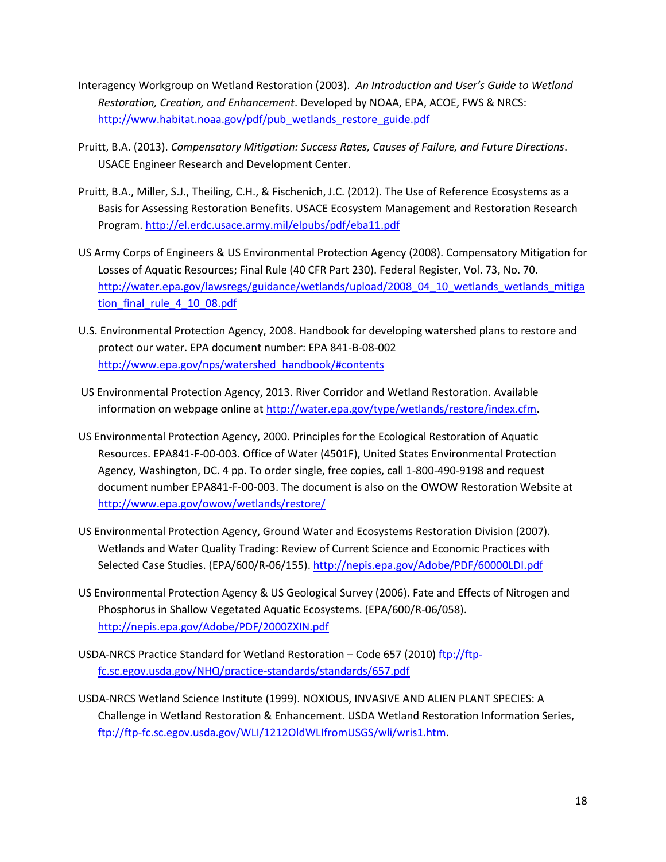- Interagency Workgroup on Wetland Restoration (2003). *An Introduction and User's Guide to Wetland Restoration, Creation, and Enhancement*. Developed by NOAA, EPA, ACOE, FWS & NRCS: [http://www.habitat.noaa.gov/pdf/pub\\_wetlands\\_restore\\_guide.pdf](http://www.habitat.noaa.gov/pdf/pub_wetlands_restore_guide.pdf)
- Pruitt, B.A. (2013). *Compensatory Mitigation: Success Rates, Causes of Failure, and Future Directions*. USACE Engineer Research and Development Center.
- Pruitt, B.A., Miller, S.J., Theiling, C.H., & Fischenich, J.C. (2012). The Use of Reference Ecosystems as a Basis for Assessing Restoration Benefits. USACE Ecosystem Management and Restoration Research Program[. http://el.erdc.usace.army.mil/elpubs/pdf/eba11.pdf](http://el.erdc.usace.army.mil/elpubs/pdf/eba11.pdf)
- US Army Corps of Engineers & US Environmental Protection Agency (2008). Compensatory Mitigation for Losses of Aquatic Resources; Final Rule (40 CFR Part 230). Federal Register, Vol. 73, No. 70. [http://water.epa.gov/lawsregs/guidance/wetlands/upload/2008\\_04\\_10\\_wetlands\\_wetlands\\_mitiga](http://water.epa.gov/lawsregs/guidance/wetlands/upload/2008_04_10_wetlands_wetlands_mitigation_final_rule_4_10_08.pdf) [tion\\_final\\_rule\\_4\\_10\\_08.pdf](http://water.epa.gov/lawsregs/guidance/wetlands/upload/2008_04_10_wetlands_wetlands_mitigation_final_rule_4_10_08.pdf)
- U.S. Environmental Protection Agency, 2008. Handbook for developing watershed plans to restore and protect our water. EPA document number: EPA 841-B-08-002 [http://www.epa.gov/nps/watershed\\_handbook/#contents](http://www.epa.gov/nps/watershed_handbook/#contents)
- US Environmental Protection Agency, 2013. River Corridor and Wetland Restoration. Available information on webpage online at [http://water.epa.gov/type/wetlands/restore/index.cfm.](http://water.epa.gov/type/wetlands/restore/index.cfm)
- US Environmental Protection Agency, 2000. Principles for the Ecological Restoration of Aquatic Resources. EPA841-F-00-003. Office of Water (4501F), United States Environmental Protection Agency, Washington, DC. 4 pp. To order single, free copies, call 1-800-490-9198 and request document number EPA841-F-00-003. The document is also on the OWOW Restoration Website at <http://www.epa.gov/owow/wetlands/restore/>
- US Environmental Protection Agency, Ground Water and Ecosystems Restoration Division (2007). Wetlands and Water Quality Trading: Review of Current Science and Economic Practices with Selected Case Studies. (EPA/600/R-06/155).<http://nepis.epa.gov/Adobe/PDF/60000LDI.pdf>
- US Environmental Protection Agency & US Geological Survey (2006). Fate and Effects of Nitrogen and Phosphorus in Shallow Vegetated Aquatic Ecosystems. (EPA/600/R-06/058). <http://nepis.epa.gov/Adobe/PDF/2000ZXIN.pdf>
- USDA-NRCS Practice Standard for Wetland Restoration Code 657 (2010) [ftp://ftp](ftp://ftp-fc.sc.egov.usda.gov/NHQ/practice-standards/standards/657.pdf)[fc.sc.egov.usda.gov/NHQ/practice-standards/standards/657.pdf](ftp://ftp-fc.sc.egov.usda.gov/NHQ/practice-standards/standards/657.pdf)
- USDA-NRCS Wetland Science Institute (1999). NOXIOUS, INVASIVE AND ALIEN PLANT SPECIES: A Challenge in Wetland Restoration & Enhancement. USDA Wetland Restoration Information Series, [ftp://ftp-fc.sc.egov.usda.gov/WLI/1212OldWLIfromUSGS/wli/wris1.htm.](ftp://ftp-fc.sc.egov.usda.gov/WLI/1212OldWLIfromUSGS/wli/wris1.htm)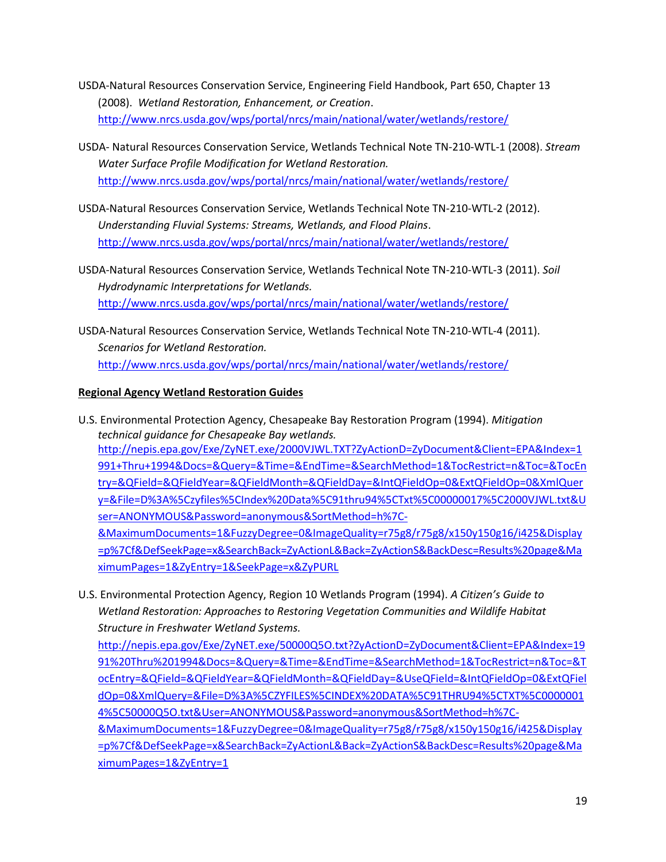- USDA-Natural Resources Conservation Service, Engineering Field Handbook, Part 650, Chapter 13 (2008). *Wetland Restoration, Enhancement, or Creation*. <http://www.nrcs.usda.gov/wps/portal/nrcs/main/national/water/wetlands/restore/>
- USDA- Natural Resources Conservation Service, Wetlands Technical Note TN-210-WTL-1 (2008). *Stream Water Surface Profile Modification for Wetland Restoration.*  <http://www.nrcs.usda.gov/wps/portal/nrcs/main/national/water/wetlands/restore/>
- USDA-Natural Resources Conservation Service, Wetlands Technical Note TN-210-WTL-2 (2012). *Understanding Fluvial Systems: Streams, Wetlands, and Flood Plains*. <http://www.nrcs.usda.gov/wps/portal/nrcs/main/national/water/wetlands/restore/>
- USDA-Natural Resources Conservation Service, Wetlands Technical Note TN-210-WTL-3 (2011). *Soil Hydrodynamic Interpretations for Wetlands.*  <http://www.nrcs.usda.gov/wps/portal/nrcs/main/national/water/wetlands/restore/>
- USDA-Natural Resources Conservation Service, Wetlands Technical Note TN-210-WTL-4 (2011). *Scenarios for Wetland Restoration.* <http://www.nrcs.usda.gov/wps/portal/nrcs/main/national/water/wetlands/restore/>

# **Regional Agency Wetland Restoration Guides**

- U.S. Environmental Protection Agency, Chesapeake Bay Restoration Program (1994). *Mitigation technical guidance for Chesapeake Bay wetlands.* [http://nepis.epa.gov/Exe/ZyNET.exe/2000VJWL.TXT?ZyActionD=ZyDocument&Client=EPA&Index=1](http://nepis.epa.gov/Exe/ZyNET.exe/2000VJWL.TXT?ZyActionD=ZyDocument&Client=EPA&Index=1991+Thru+1994&Docs=&Query=&Time=&EndTime=&SearchMethod=1&TocRestrict=n&Toc=&TocEntry=&QField=&QFieldYear=&QFieldMonth=&QFieldDay=&IntQFieldOp=0&ExtQFieldOp=0&XmlQuery=&File=D%3A%5Czyfiles%5CIndex%20Data%5C91thru94%5CTxt%5C00000017%5C2000VJWL.txt&User=ANONYMOUS&Password=anonymous&SortMethod=h%7C-&MaximumDocuments=1&FuzzyDegree=0&ImageQuality=r75g8/r75g8/x150y150g16/i425&Display=p%7Cf&DefSeekPage=x&SearchBack=ZyActionL&Back=ZyActionS&BackDesc=Results%20page&MaximumPages=1&ZyEntry=1&SeekPage=x&ZyPURL) [991+Thru+1994&Docs=&Query=&Time=&EndTime=&SearchMethod=1&TocRestrict=n&Toc=&TocEn](http://nepis.epa.gov/Exe/ZyNET.exe/2000VJWL.TXT?ZyActionD=ZyDocument&Client=EPA&Index=1991+Thru+1994&Docs=&Query=&Time=&EndTime=&SearchMethod=1&TocRestrict=n&Toc=&TocEntry=&QField=&QFieldYear=&QFieldMonth=&QFieldDay=&IntQFieldOp=0&ExtQFieldOp=0&XmlQuery=&File=D%3A%5Czyfiles%5CIndex%20Data%5C91thru94%5CTxt%5C00000017%5C2000VJWL.txt&User=ANONYMOUS&Password=anonymous&SortMethod=h%7C-&MaximumDocuments=1&FuzzyDegree=0&ImageQuality=r75g8/r75g8/x150y150g16/i425&Display=p%7Cf&DefSeekPage=x&SearchBack=ZyActionL&Back=ZyActionS&BackDesc=Results%20page&MaximumPages=1&ZyEntry=1&SeekPage=x&ZyPURL) [try=&QField=&QFieldYear=&QFieldMonth=&QFieldDay=&IntQFieldOp=0&ExtQFieldOp=0&XmlQuer](http://nepis.epa.gov/Exe/ZyNET.exe/2000VJWL.TXT?ZyActionD=ZyDocument&Client=EPA&Index=1991+Thru+1994&Docs=&Query=&Time=&EndTime=&SearchMethod=1&TocRestrict=n&Toc=&TocEntry=&QField=&QFieldYear=&QFieldMonth=&QFieldDay=&IntQFieldOp=0&ExtQFieldOp=0&XmlQuery=&File=D%3A%5Czyfiles%5CIndex%20Data%5C91thru94%5CTxt%5C00000017%5C2000VJWL.txt&User=ANONYMOUS&Password=anonymous&SortMethod=h%7C-&MaximumDocuments=1&FuzzyDegree=0&ImageQuality=r75g8/r75g8/x150y150g16/i425&Display=p%7Cf&DefSeekPage=x&SearchBack=ZyActionL&Back=ZyActionS&BackDesc=Results%20page&MaximumPages=1&ZyEntry=1&SeekPage=x&ZyPURL) [y=&File=D%3A%5Czyfiles%5CIndex%20Data%5C91thru94%5CTxt%5C00000017%5C2000VJWL.txt&U](http://nepis.epa.gov/Exe/ZyNET.exe/2000VJWL.TXT?ZyActionD=ZyDocument&Client=EPA&Index=1991+Thru+1994&Docs=&Query=&Time=&EndTime=&SearchMethod=1&TocRestrict=n&Toc=&TocEntry=&QField=&QFieldYear=&QFieldMonth=&QFieldDay=&IntQFieldOp=0&ExtQFieldOp=0&XmlQuery=&File=D%3A%5Czyfiles%5CIndex%20Data%5C91thru94%5CTxt%5C00000017%5C2000VJWL.txt&User=ANONYMOUS&Password=anonymous&SortMethod=h%7C-&MaximumDocuments=1&FuzzyDegree=0&ImageQuality=r75g8/r75g8/x150y150g16/i425&Display=p%7Cf&DefSeekPage=x&SearchBack=ZyActionL&Back=ZyActionS&BackDesc=Results%20page&MaximumPages=1&ZyEntry=1&SeekPage=x&ZyPURL) [ser=ANONYMOUS&Password=anonymous&SortMethod=h%7C-](http://nepis.epa.gov/Exe/ZyNET.exe/2000VJWL.TXT?ZyActionD=ZyDocument&Client=EPA&Index=1991+Thru+1994&Docs=&Query=&Time=&EndTime=&SearchMethod=1&TocRestrict=n&Toc=&TocEntry=&QField=&QFieldYear=&QFieldMonth=&QFieldDay=&IntQFieldOp=0&ExtQFieldOp=0&XmlQuery=&File=D%3A%5Czyfiles%5CIndex%20Data%5C91thru94%5CTxt%5C00000017%5C2000VJWL.txt&User=ANONYMOUS&Password=anonymous&SortMethod=h%7C-&MaximumDocuments=1&FuzzyDegree=0&ImageQuality=r75g8/r75g8/x150y150g16/i425&Display=p%7Cf&DefSeekPage=x&SearchBack=ZyActionL&Back=ZyActionS&BackDesc=Results%20page&MaximumPages=1&ZyEntry=1&SeekPage=x&ZyPURL) [&MaximumDocuments=1&FuzzyDegree=0&ImageQuality=r75g8/r75g8/x150y150g16/i425&Display](http://nepis.epa.gov/Exe/ZyNET.exe/2000VJWL.TXT?ZyActionD=ZyDocument&Client=EPA&Index=1991+Thru+1994&Docs=&Query=&Time=&EndTime=&SearchMethod=1&TocRestrict=n&Toc=&TocEntry=&QField=&QFieldYear=&QFieldMonth=&QFieldDay=&IntQFieldOp=0&ExtQFieldOp=0&XmlQuery=&File=D%3A%5Czyfiles%5CIndex%20Data%5C91thru94%5CTxt%5C00000017%5C2000VJWL.txt&User=ANONYMOUS&Password=anonymous&SortMethod=h%7C-&MaximumDocuments=1&FuzzyDegree=0&ImageQuality=r75g8/r75g8/x150y150g16/i425&Display=p%7Cf&DefSeekPage=x&SearchBack=ZyActionL&Back=ZyActionS&BackDesc=Results%20page&MaximumPages=1&ZyEntry=1&SeekPage=x&ZyPURL) [=p%7Cf&DefSeekPage=x&SearchBack=ZyActionL&Back=ZyActionS&BackDesc=Results%20page&Ma](http://nepis.epa.gov/Exe/ZyNET.exe/2000VJWL.TXT?ZyActionD=ZyDocument&Client=EPA&Index=1991+Thru+1994&Docs=&Query=&Time=&EndTime=&SearchMethod=1&TocRestrict=n&Toc=&TocEntry=&QField=&QFieldYear=&QFieldMonth=&QFieldDay=&IntQFieldOp=0&ExtQFieldOp=0&XmlQuery=&File=D%3A%5Czyfiles%5CIndex%20Data%5C91thru94%5CTxt%5C00000017%5C2000VJWL.txt&User=ANONYMOUS&Password=anonymous&SortMethod=h%7C-&MaximumDocuments=1&FuzzyDegree=0&ImageQuality=r75g8/r75g8/x150y150g16/i425&Display=p%7Cf&DefSeekPage=x&SearchBack=ZyActionL&Back=ZyActionS&BackDesc=Results%20page&MaximumPages=1&ZyEntry=1&SeekPage=x&ZyPURL) [ximumPages=1&ZyEntry=1&SeekPage=x&ZyPURL](http://nepis.epa.gov/Exe/ZyNET.exe/2000VJWL.TXT?ZyActionD=ZyDocument&Client=EPA&Index=1991+Thru+1994&Docs=&Query=&Time=&EndTime=&SearchMethod=1&TocRestrict=n&Toc=&TocEntry=&QField=&QFieldYear=&QFieldMonth=&QFieldDay=&IntQFieldOp=0&ExtQFieldOp=0&XmlQuery=&File=D%3A%5Czyfiles%5CIndex%20Data%5C91thru94%5CTxt%5C00000017%5C2000VJWL.txt&User=ANONYMOUS&Password=anonymous&SortMethod=h%7C-&MaximumDocuments=1&FuzzyDegree=0&ImageQuality=r75g8/r75g8/x150y150g16/i425&Display=p%7Cf&DefSeekPage=x&SearchBack=ZyActionL&Back=ZyActionS&BackDesc=Results%20page&MaximumPages=1&ZyEntry=1&SeekPage=x&ZyPURL)
- U.S. Environmental Protection Agency, Region 10 Wetlands Program (1994). *A Citizen's Guide to Wetland Restoration: Approaches to Restoring Vegetation Communities and Wildlife Habitat Structure in Freshwater Wetland Systems.*

[http://nepis.epa.gov/Exe/ZyNET.exe/50000Q5O.txt?ZyActionD=ZyDocument&Client=EPA&Index=19](http://nepis.epa.gov/Exe/ZyNET.exe/50000Q5O.txt?ZyActionD=ZyDocument&Client=EPA&Index=1991%20Thru%201994&Docs=&Query=&Time=&EndTime=&SearchMethod=1&TocRestrict=n&Toc=&TocEntry=&QField=&QFieldYear=&QFieldMonth=&QFieldDay=&UseQField=&IntQFieldOp=0&ExtQFieldOp=0&XmlQuery=&File=D%3A%5CZYFILES%5CINDEX%20DATA%5C91THRU94%5CTXT%5C00000014%5C50000Q5O.txt&User=ANONYMOUS&Password=anonymous&SortMethod=h%7C-&MaximumDocuments=1&FuzzyDegree=0&ImageQuality=r75g8/r75g8/x150y150g16/i425&Display=p%7Cf&DefSeekPage=x&SearchBack=ZyActionL&Back=ZyActionS&BackDesc=Results%20page&MaximumPages=1&ZyEntry=1) [91%20Thru%201994&Docs=&Query=&Time=&EndTime=&SearchMethod=1&TocRestrict=n&Toc=&T](http://nepis.epa.gov/Exe/ZyNET.exe/50000Q5O.txt?ZyActionD=ZyDocument&Client=EPA&Index=1991%20Thru%201994&Docs=&Query=&Time=&EndTime=&SearchMethod=1&TocRestrict=n&Toc=&TocEntry=&QField=&QFieldYear=&QFieldMonth=&QFieldDay=&UseQField=&IntQFieldOp=0&ExtQFieldOp=0&XmlQuery=&File=D%3A%5CZYFILES%5CINDEX%20DATA%5C91THRU94%5CTXT%5C00000014%5C50000Q5O.txt&User=ANONYMOUS&Password=anonymous&SortMethod=h%7C-&MaximumDocuments=1&FuzzyDegree=0&ImageQuality=r75g8/r75g8/x150y150g16/i425&Display=p%7Cf&DefSeekPage=x&SearchBack=ZyActionL&Back=ZyActionS&BackDesc=Results%20page&MaximumPages=1&ZyEntry=1) [ocEntry=&QField=&QFieldYear=&QFieldMonth=&QFieldDay=&UseQField=&IntQFieldOp=0&ExtQFiel](http://nepis.epa.gov/Exe/ZyNET.exe/50000Q5O.txt?ZyActionD=ZyDocument&Client=EPA&Index=1991%20Thru%201994&Docs=&Query=&Time=&EndTime=&SearchMethod=1&TocRestrict=n&Toc=&TocEntry=&QField=&QFieldYear=&QFieldMonth=&QFieldDay=&UseQField=&IntQFieldOp=0&ExtQFieldOp=0&XmlQuery=&File=D%3A%5CZYFILES%5CINDEX%20DATA%5C91THRU94%5CTXT%5C00000014%5C50000Q5O.txt&User=ANONYMOUS&Password=anonymous&SortMethod=h%7C-&MaximumDocuments=1&FuzzyDegree=0&ImageQuality=r75g8/r75g8/x150y150g16/i425&Display=p%7Cf&DefSeekPage=x&SearchBack=ZyActionL&Back=ZyActionS&BackDesc=Results%20page&MaximumPages=1&ZyEntry=1) [dOp=0&XmlQuery=&File=D%3A%5CZYFILES%5CINDEX%20DATA%5C91THRU94%5CTXT%5C0000001](http://nepis.epa.gov/Exe/ZyNET.exe/50000Q5O.txt?ZyActionD=ZyDocument&Client=EPA&Index=1991%20Thru%201994&Docs=&Query=&Time=&EndTime=&SearchMethod=1&TocRestrict=n&Toc=&TocEntry=&QField=&QFieldYear=&QFieldMonth=&QFieldDay=&UseQField=&IntQFieldOp=0&ExtQFieldOp=0&XmlQuery=&File=D%3A%5CZYFILES%5CINDEX%20DATA%5C91THRU94%5CTXT%5C00000014%5C50000Q5O.txt&User=ANONYMOUS&Password=anonymous&SortMethod=h%7C-&MaximumDocuments=1&FuzzyDegree=0&ImageQuality=r75g8/r75g8/x150y150g16/i425&Display=p%7Cf&DefSeekPage=x&SearchBack=ZyActionL&Back=ZyActionS&BackDesc=Results%20page&MaximumPages=1&ZyEntry=1) [4%5C50000Q5O.txt&User=ANONYMOUS&Password=anonymous&SortMethod=h%7C-](http://nepis.epa.gov/Exe/ZyNET.exe/50000Q5O.txt?ZyActionD=ZyDocument&Client=EPA&Index=1991%20Thru%201994&Docs=&Query=&Time=&EndTime=&SearchMethod=1&TocRestrict=n&Toc=&TocEntry=&QField=&QFieldYear=&QFieldMonth=&QFieldDay=&UseQField=&IntQFieldOp=0&ExtQFieldOp=0&XmlQuery=&File=D%3A%5CZYFILES%5CINDEX%20DATA%5C91THRU94%5CTXT%5C00000014%5C50000Q5O.txt&User=ANONYMOUS&Password=anonymous&SortMethod=h%7C-&MaximumDocuments=1&FuzzyDegree=0&ImageQuality=r75g8/r75g8/x150y150g16/i425&Display=p%7Cf&DefSeekPage=x&SearchBack=ZyActionL&Back=ZyActionS&BackDesc=Results%20page&MaximumPages=1&ZyEntry=1) [&MaximumDocuments=1&FuzzyDegree=0&ImageQuality=r75g8/r75g8/x150y150g16/i425&Display](http://nepis.epa.gov/Exe/ZyNET.exe/50000Q5O.txt?ZyActionD=ZyDocument&Client=EPA&Index=1991%20Thru%201994&Docs=&Query=&Time=&EndTime=&SearchMethod=1&TocRestrict=n&Toc=&TocEntry=&QField=&QFieldYear=&QFieldMonth=&QFieldDay=&UseQField=&IntQFieldOp=0&ExtQFieldOp=0&XmlQuery=&File=D%3A%5CZYFILES%5CINDEX%20DATA%5C91THRU94%5CTXT%5C00000014%5C50000Q5O.txt&User=ANONYMOUS&Password=anonymous&SortMethod=h%7C-&MaximumDocuments=1&FuzzyDegree=0&ImageQuality=r75g8/r75g8/x150y150g16/i425&Display=p%7Cf&DefSeekPage=x&SearchBack=ZyActionL&Back=ZyActionS&BackDesc=Results%20page&MaximumPages=1&ZyEntry=1) [=p%7Cf&DefSeekPage=x&SearchBack=ZyActionL&Back=ZyActionS&BackDesc=Results%20page&Ma](http://nepis.epa.gov/Exe/ZyNET.exe/50000Q5O.txt?ZyActionD=ZyDocument&Client=EPA&Index=1991%20Thru%201994&Docs=&Query=&Time=&EndTime=&SearchMethod=1&TocRestrict=n&Toc=&TocEntry=&QField=&QFieldYear=&QFieldMonth=&QFieldDay=&UseQField=&IntQFieldOp=0&ExtQFieldOp=0&XmlQuery=&File=D%3A%5CZYFILES%5CINDEX%20DATA%5C91THRU94%5CTXT%5C00000014%5C50000Q5O.txt&User=ANONYMOUS&Password=anonymous&SortMethod=h%7C-&MaximumDocuments=1&FuzzyDegree=0&ImageQuality=r75g8/r75g8/x150y150g16/i425&Display=p%7Cf&DefSeekPage=x&SearchBack=ZyActionL&Back=ZyActionS&BackDesc=Results%20page&MaximumPages=1&ZyEntry=1) [ximumPages=1&ZyEntry=1](http://nepis.epa.gov/Exe/ZyNET.exe/50000Q5O.txt?ZyActionD=ZyDocument&Client=EPA&Index=1991%20Thru%201994&Docs=&Query=&Time=&EndTime=&SearchMethod=1&TocRestrict=n&Toc=&TocEntry=&QField=&QFieldYear=&QFieldMonth=&QFieldDay=&UseQField=&IntQFieldOp=0&ExtQFieldOp=0&XmlQuery=&File=D%3A%5CZYFILES%5CINDEX%20DATA%5C91THRU94%5CTXT%5C00000014%5C50000Q5O.txt&User=ANONYMOUS&Password=anonymous&SortMethod=h%7C-&MaximumDocuments=1&FuzzyDegree=0&ImageQuality=r75g8/r75g8/x150y150g16/i425&Display=p%7Cf&DefSeekPage=x&SearchBack=ZyActionL&Back=ZyActionS&BackDesc=Results%20page&MaximumPages=1&ZyEntry=1)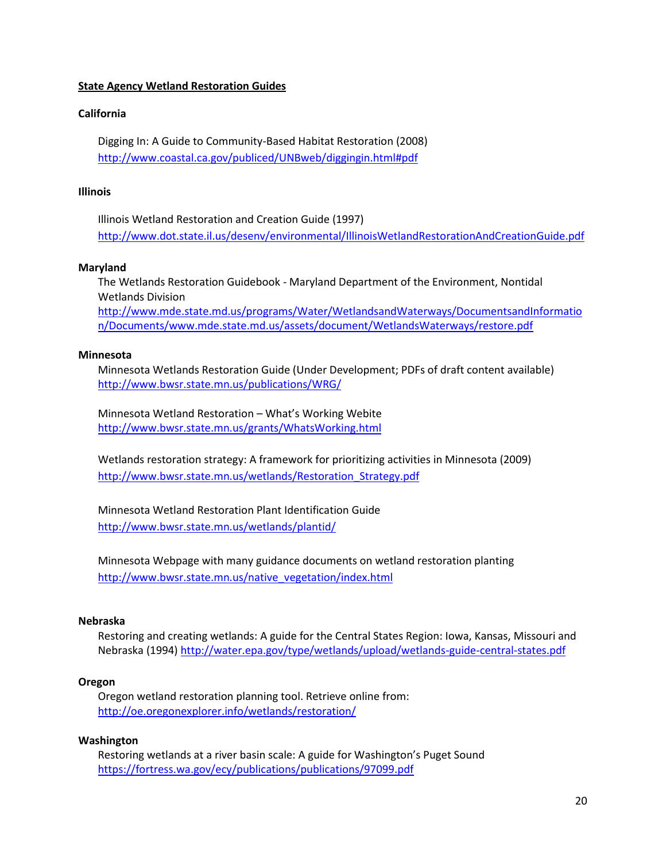# **State Agency Wetland Restoration Guides**

## **California**

Digging In: A Guide to Community-Based Habitat Restoration (2008) <http://www.coastal.ca.gov/publiced/UNBweb/diggingin.html#pdf>

# **Illinois**

Illinois Wetland Restoration and Creation Guide (1997) <http://www.dot.state.il.us/desenv/environmental/IllinoisWetlandRestorationAndCreationGuide.pdf>

### **Maryland**

The Wetlands Restoration Guidebook - Maryland Department of the Environment, Nontidal Wetlands Division [http://www.mde.state.md.us/programs/Water/WetlandsandWaterways/DocumentsandInformatio](http://www.mde.state.md.us/programs/Water/WetlandsandWaterways/DocumentsandInformation/Documents/www.mde.state.md.us/assets/document/WetlandsWaterways/restore.pdf) [n/Documents/www.mde.state.md.us/assets/document/WetlandsWaterways/restore.pdf](http://www.mde.state.md.us/programs/Water/WetlandsandWaterways/DocumentsandInformation/Documents/www.mde.state.md.us/assets/document/WetlandsWaterways/restore.pdf)

### **Minnesota**

Minnesota Wetlands Restoration Guide (Under Development; PDFs of draft content available) <http://www.bwsr.state.mn.us/publications/WRG/>

Minnesota Wetland Restoration – What's Working Webite <http://www.bwsr.state.mn.us/grants/WhatsWorking.html>

Wetlands restoration strategy: A framework for prioritizing activities in Minnesota (2009) [http://www.bwsr.state.mn.us/wetlands/Restoration\\_Strategy.pdf](http://www.bwsr.state.mn.us/wetlands/Restoration_Strategy.pdf)

Minnesota Wetland Restoration Plant Identification Guide <http://www.bwsr.state.mn.us/wetlands/plantid/>

Minnesota Webpage with many guidance documents on wetland restoration planting [http://www.bwsr.state.mn.us/native\\_vegetation/index.html](http://www.bwsr.state.mn.us/native_vegetation/index.html)

### **Nebraska**

Restoring and creating wetlands: A guide for the Central States Region: Iowa, Kansas, Missouri and Nebraska (1994) <http://water.epa.gov/type/wetlands/upload/wetlands-guide-central-states.pdf>

## **Oregon**

Oregon wetland restoration planning tool. Retrieve online from: <http://oe.oregonexplorer.info/wetlands/restoration/>

#### **Washington**

Restoring wetlands at a river basin scale: A guide for Washington's Puget Sound <https://fortress.wa.gov/ecy/publications/publications/97099.pdf>